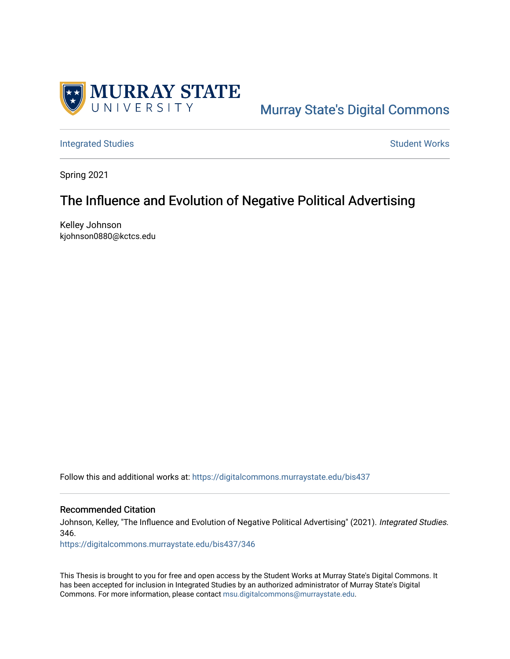

# [Murray State's Digital Commons](https://digitalcommons.murraystate.edu/)

[Integrated Studies](https://digitalcommons.murraystate.edu/bis437) **Student Works** [Student Works](https://digitalcommons.murraystate.edu/allstudent) **Student Works** 

Spring 2021

## The Influence and Evolution of Negative Political Advertising

Kelley Johnson kjohnson0880@kctcs.edu

Follow this and additional works at: [https://digitalcommons.murraystate.edu/bis437](https://digitalcommons.murraystate.edu/bis437?utm_source=digitalcommons.murraystate.edu%2Fbis437%2F346&utm_medium=PDF&utm_campaign=PDFCoverPages) 

#### Recommended Citation

Johnson, Kelley, "The Influence and Evolution of Negative Political Advertising" (2021). Integrated Studies. 346.

[https://digitalcommons.murraystate.edu/bis437/346](https://digitalcommons.murraystate.edu/bis437/346?utm_source=digitalcommons.murraystate.edu%2Fbis437%2F346&utm_medium=PDF&utm_campaign=PDFCoverPages) 

This Thesis is brought to you for free and open access by the Student Works at Murray State's Digital Commons. It has been accepted for inclusion in Integrated Studies by an authorized administrator of Murray State's Digital Commons. For more information, please contact [msu.digitalcommons@murraystate.edu.](mailto:msu.digitalcommons@murraystate.edu)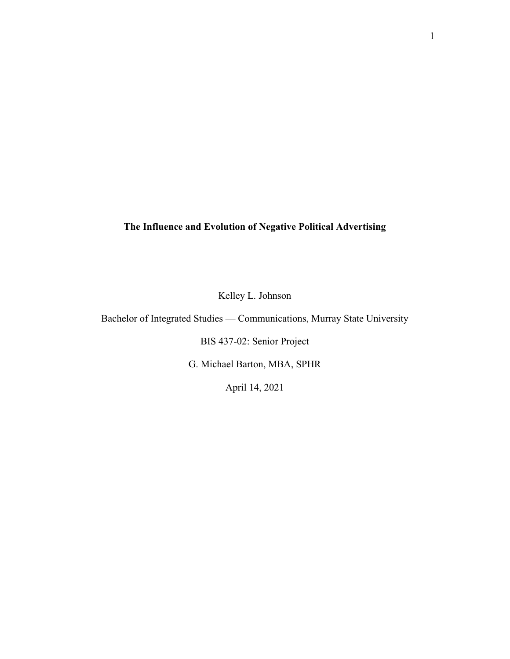### **The Influence and Evolution of Negative Political Advertising**

Kelley L. Johnson

Bachelor of Integrated Studies — Communications, Murray State University

BIS 437-02: Senior Project

G. Michael Barton, MBA, SPHR

April 14, 2021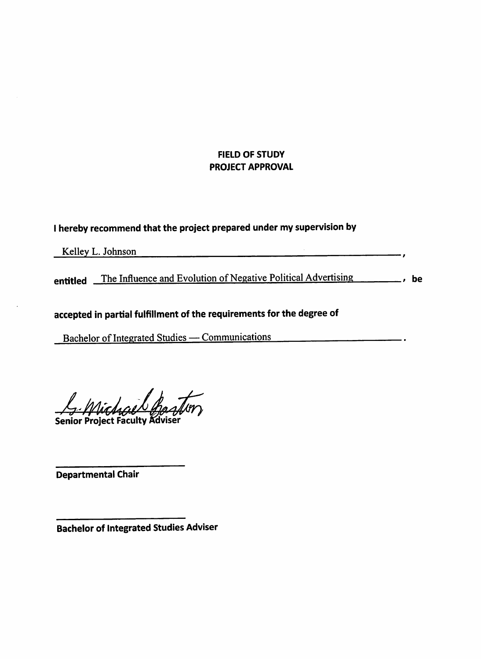### FIELD OF STUDY **PROJECT APPROVAL**

 $\overline{\phantom{a}}$ 

### I hereby recommend that the project prepared under my supervision by

Kelley L. Johnson

entitled The Influence and Evolution of Negative Political Advertising , be

## accepted in partial fulfillment of the requirements for the degree of

Bachelor of Integrated Studies — Communications — 2001.

Senior Project Faculty Adviser

Departmental Chair

**Bachelor of Integrated Studies Adviser**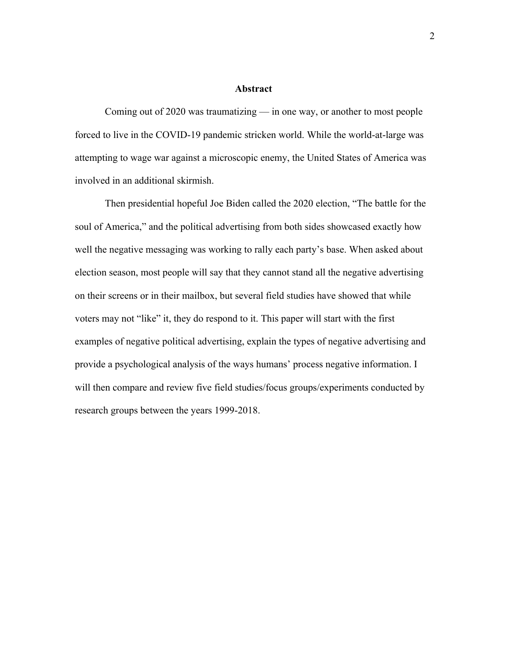#### **Abstract**

Coming out of 2020 was traumatizing — in one way, or another to most people forced to live in the COVID-19 pandemic stricken world. While the world-at-large was attempting to wage war against a microscopic enemy, the United States of America was involved in an additional skirmish.

Then presidential hopeful Joe Biden called the 2020 election, "The battle for the soul of America," and the political advertising from both sides showcased exactly how well the negative messaging was working to rally each party's base. When asked about election season, most people will say that they cannot stand all the negative advertising on their screens or in their mailbox, but several field studies have showed that while voters may not "like" it, they do respond to it. This paper will start with the first examples of negative political advertising, explain the types of negative advertising and provide a psychological analysis of the ways humans' process negative information. I will then compare and review five field studies/focus groups/experiments conducted by research groups between the years 1999-2018.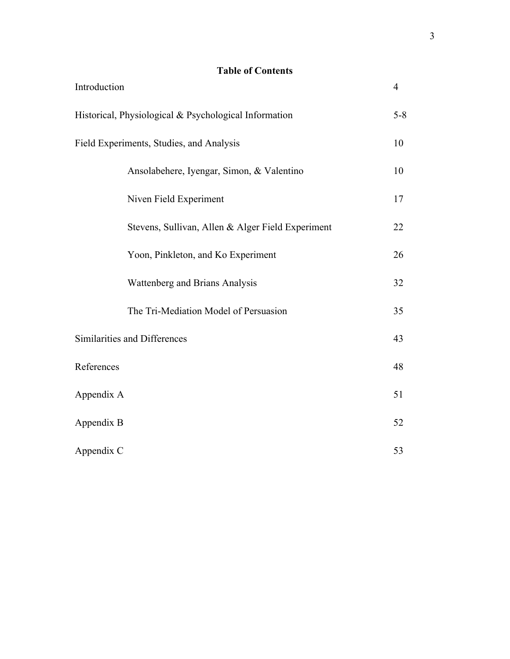### **Table of Contents**

| Introduction |                                                       | $\overline{4}$ |
|--------------|-------------------------------------------------------|----------------|
|              | Historical, Physiological & Psychological Information | $5 - 8$        |
|              | Field Experiments, Studies, and Analysis              |                |
|              | Ansolabehere, Iyengar, Simon, & Valentino             | 10             |
|              | Niven Field Experiment                                | 17             |
|              | Stevens, Sullivan, Allen & Alger Field Experiment     | 22             |
|              | Yoon, Pinkleton, and Ko Experiment                    | 26             |
|              | Wattenberg and Brians Analysis                        | 32             |
|              | The Tri-Mediation Model of Persuasion                 | 35             |
|              | Similarities and Differences                          | 43             |
| References   |                                                       | 48             |
| Appendix A   |                                                       | 51             |
| Appendix B   |                                                       | 52             |
| Appendix C   |                                                       | 53             |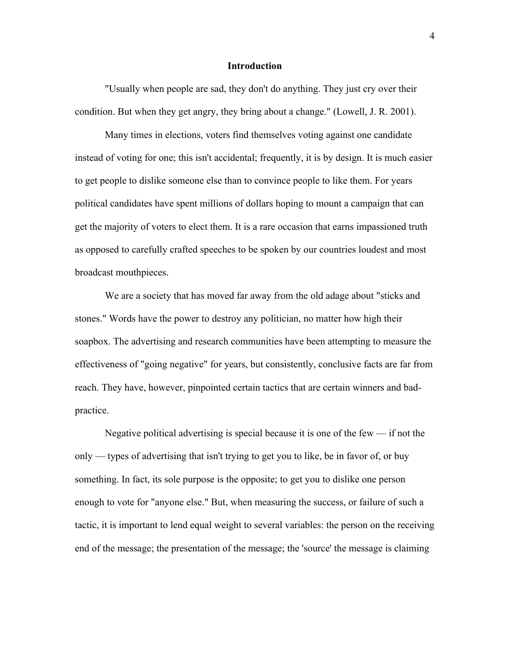#### **Introduction**

"Usually when people are sad, they don't do anything. They just cry over their condition. But when they get angry, they bring about a change." (Lowell, J. R. 2001).

Many times in elections, voters find themselves voting against one candidate instead of voting for one; this isn't accidental; frequently, it is by design. It is much easier to get people to dislike someone else than to convince people to like them. For years political candidates have spent millions of dollars hoping to mount a campaign that can get the majority of voters to elect them. It is a rare occasion that earns impassioned truth as opposed to carefully crafted speeches to be spoken by our countries loudest and most broadcast mouthpieces.

We are a society that has moved far away from the old adage about "sticks and stones." Words have the power to destroy any politician, no matter how high their soapbox. The advertising and research communities have been attempting to measure the effectiveness of "going negative" for years, but consistently, conclusive facts are far from reach. They have, however, pinpointed certain tactics that are certain winners and badpractice.

Negative political advertising is special because it is one of the few  $-$  if not the only — types of advertising that isn't trying to get you to like, be in favor of, or buy something. In fact, its sole purpose is the opposite; to get you to dislike one person enough to vote for "anyone else." But, when measuring the success, or failure of such a tactic, it is important to lend equal weight to several variables: the person on the receiving end of the message; the presentation of the message; the 'source' the message is claiming

4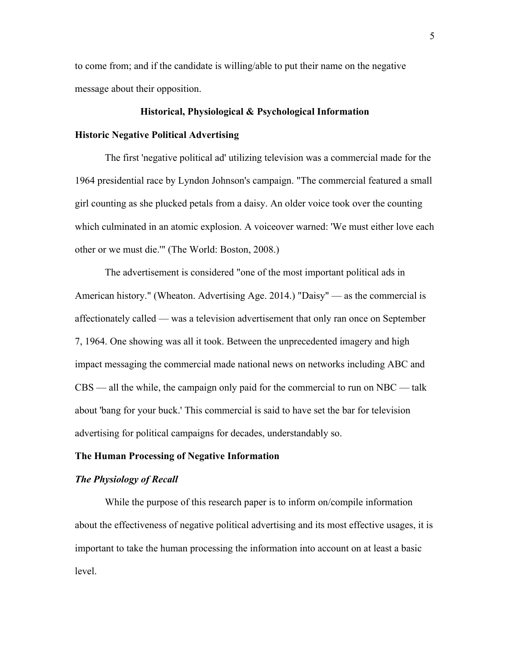to come from; and if the candidate is willing/able to put their name on the negative message about their opposition.

#### **Historical, Physiological & Psychological Information**

#### **Historic Negative Political Advertising**

The first 'negative political ad' utilizing television was a commercial made for the 1964 presidential race by Lyndon Johnson's campaign. "The commercial featured a small girl counting as she plucked petals from a daisy. An older voice took over the counting which culminated in an atomic explosion. A voiceover warned: 'We must either love each other or we must die.'" (The World: Boston, 2008.)

The advertisement is considered "one of the most important political ads in American history." (Wheaton. Advertising Age. 2014.) "Daisy" — as the commercial is affectionately called — was a television advertisement that only ran once on September 7, 1964. One showing was all it took. Between the unprecedented imagery and high impact messaging the commercial made national news on networks including ABC and  $CBS$  — all the while, the campaign only paid for the commercial to run on NBC — talk about 'bang for your buck.' This commercial is said to have set the bar for television advertising for political campaigns for decades, understandably so.

#### **The Human Processing of Negative Information**

#### *The Physiology of Recall*

While the purpose of this research paper is to inform on/compile information about the effectiveness of negative political advertising and its most effective usages, it is important to take the human processing the information into account on at least a basic level.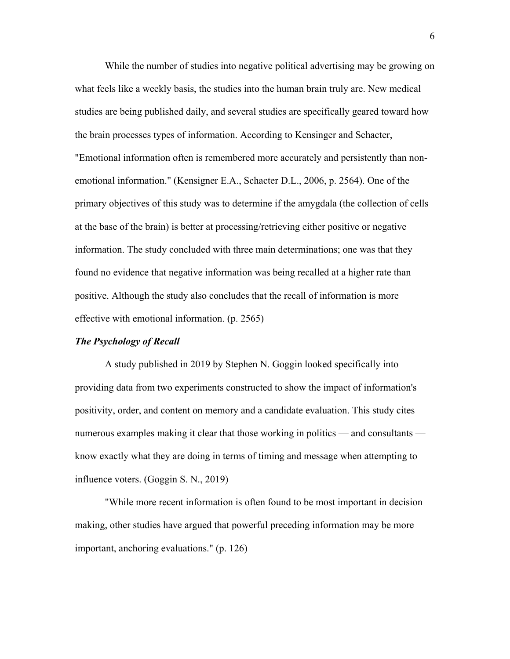While the number of studies into negative political advertising may be growing on what feels like a weekly basis, the studies into the human brain truly are. New medical studies are being published daily, and several studies are specifically geared toward how the brain processes types of information. According to Kensinger and Schacter, "Emotional information often is remembered more accurately and persistently than nonemotional information." (Kensigner E.A., Schacter D.L., 2006, p. 2564). One of the primary objectives of this study was to determine if the amygdala (the collection of cells at the base of the brain) is better at processing/retrieving either positive or negative information. The study concluded with three main determinations; one was that they found no evidence that negative information was being recalled at a higher rate than positive. Although the study also concludes that the recall of information is more effective with emotional information. (p. 2565)

#### *The Psychology of Recall*

A study published in 2019 by Stephen N. Goggin looked specifically into providing data from two experiments constructed to show the impact of information's positivity, order, and content on memory and a candidate evaluation. This study cites numerous examples making it clear that those working in politics — and consultants know exactly what they are doing in terms of timing and message when attempting to influence voters. (Goggin S. N., 2019)

"While more recent information is often found to be most important in decision making, other studies have argued that powerful preceding information may be more important, anchoring evaluations." (p. 126)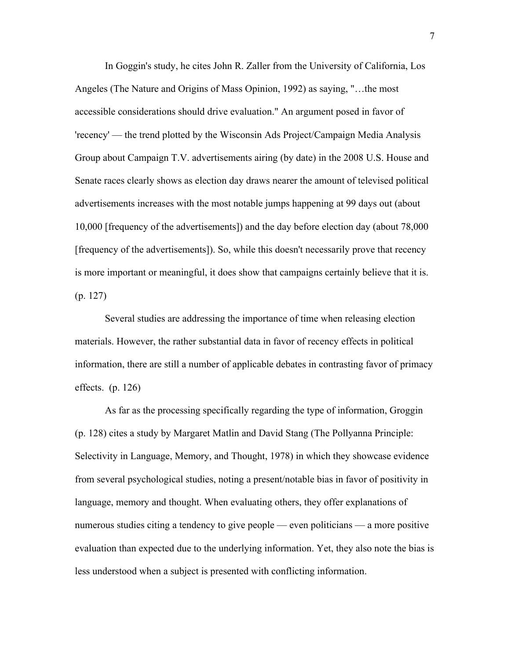In Goggin's study, he cites John R. Zaller from the University of California, Los Angeles (The Nature and Origins of Mass Opinion, 1992) as saying, "…the most accessible considerations should drive evaluation." An argument posed in favor of 'recency' — the trend plotted by the Wisconsin Ads Project/Campaign Media Analysis Group about Campaign T.V. advertisements airing (by date) in the 2008 U.S. House and Senate races clearly shows as election day draws nearer the amount of televised political advertisements increases with the most notable jumps happening at 99 days out (about 10,000 [frequency of the advertisements]) and the day before election day (about 78,000 [frequency of the advertisements]). So, while this doesn't necessarily prove that recency is more important or meaningful, it does show that campaigns certainly believe that it is. (p. 127)

Several studies are addressing the importance of time when releasing election materials. However, the rather substantial data in favor of recency effects in political information, there are still a number of applicable debates in contrasting favor of primacy effects. (p. 126)

As far as the processing specifically regarding the type of information, Groggin (p. 128) cites a study by Margaret Matlin and David Stang (The Pollyanna Principle: Selectivity in Language, Memory, and Thought, 1978) in which they showcase evidence from several psychological studies, noting a present/notable bias in favor of positivity in language, memory and thought. When evaluating others, they offer explanations of numerous studies citing a tendency to give people — even politicians — a more positive evaluation than expected due to the underlying information. Yet, they also note the bias is less understood when a subject is presented with conflicting information.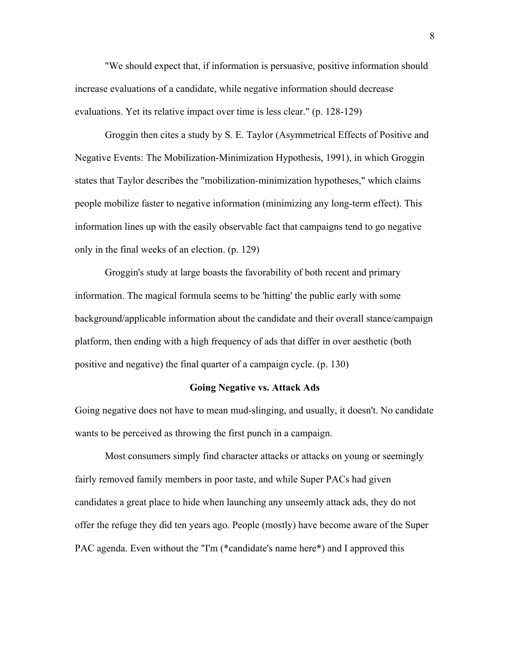"We should expect that, if information is persuasive, positive information should increase evaluations of a candidate, while negative information should decrease evaluations. Yet its relative impact over time is less clear." (p. 128-129)

Groggin then cites a study by S. E. Taylor (Asymmetrical Effects of Positive and Negative Events: The Mobilization-Minimization Hypothesis, 1991), in which Groggin states that Taylor describes the "mobilization-minimization hypotheses," which claims people mobilize faster to negative information (minimizing any long-term effect). This information lines up with the easily observable fact that campaigns tend to go negative only in the final weeks of an election. (p. 129)

Groggin's study at large boasts the favorability of both recent and primary information. The magical formula seems to be 'hitting' the public early with some background/applicable information about the candidate and their overall stance/campaign platform, then ending with a high frequency of ads that differ in over aesthetic (both positive and negative) the final quarter of a campaign cycle. (p. 130)

#### **Going Negative vs. Attack Ads**

Going negative does not have to mean mud-slinging, and usually, it doesn't. No candidate wants to be perceived as throwing the first punch in a campaign.

Most consumers simply find character attacks or attacks on young or seemingly fairly removed family members in poor taste, and while Super PACs had given candidates a great place to hide when launching any unseemly attack ads, they do not offer the refuge they did ten years ago. People (mostly) have become aware of the Super PAC agenda. Even without the "I'm (\*candidate's name here\*) and I approved this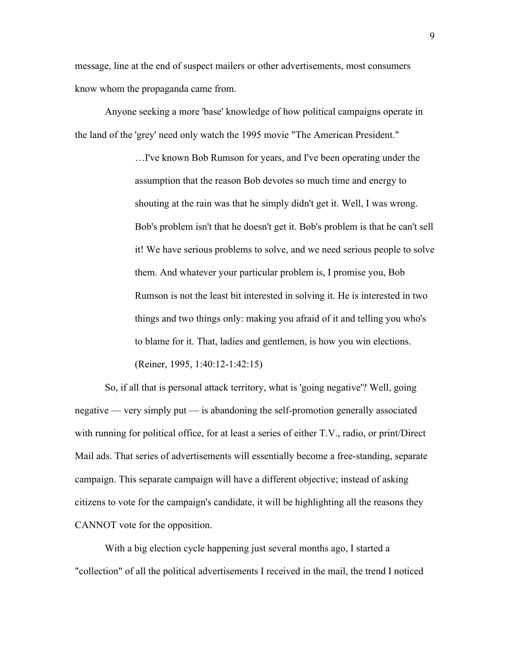message, line at the end of suspect mailers or other advertisements, most consumers know whom the propaganda came from.

Anyone seeking a more 'base' knowledge of how political campaigns operate in the land of the 'grey' need only watch the 1995 movie "The American President."

> …I've known Bob Rumson for years, and I've been operating under the assumption that the reason Bob devotes so much time and energy to shouting at the rain was that he simply didn't get it. Well, I was wrong. Bob's problem isn't that he doesn't get it. Bob's problem is that he can't sell it! We have serious problems to solve, and we need serious people to solve them. And whatever your particular problem is, I promise you, Bob Rumson is not the least bit interested in solving it. He is interested in two things and two things only: making you afraid of it and telling you who's to blame for it. That, ladies and gentlemen, is how you win elections. (Reiner, 1995, 1:40:12-1:42:15)

So, if all that is personal attack territory, what is 'going negative'? Well, going negative — very simply put — is abandoning the self-promotion generally associated with running for political office, for at least a series of either T.V., radio, or print/Direct Mail ads. That series of advertisements will essentially become a free-standing, separate campaign. This separate campaign will have a different objective; instead of asking citizens to vote for the campaign's candidate, it will be highlighting all the reasons they CANNOT vote for the opposition.

With a big election cycle happening just several months ago, I started a "collection" of all the political advertisements I received in the mail, the trend I noticed

9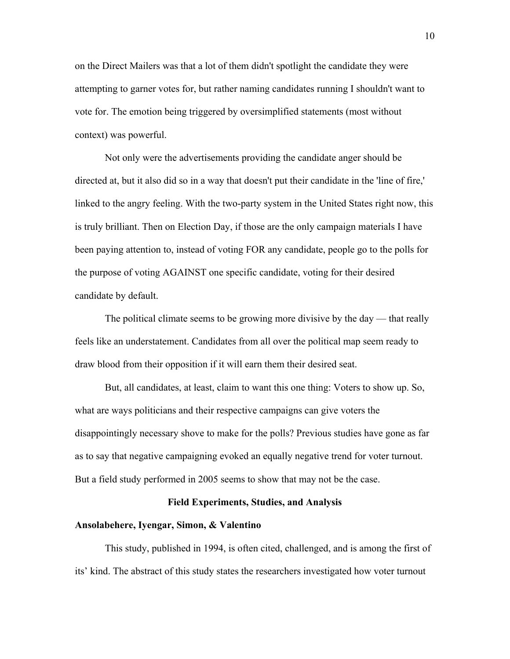on the Direct Mailers was that a lot of them didn't spotlight the candidate they were attempting to garner votes for, but rather naming candidates running I shouldn't want to vote for. The emotion being triggered by oversimplified statements (most without context) was powerful.

Not only were the advertisements providing the candidate anger should be directed at, but it also did so in a way that doesn't put their candidate in the 'line of fire,' linked to the angry feeling. With the two-party system in the United States right now, this is truly brilliant. Then on Election Day, if those are the only campaign materials I have been paying attention to, instead of voting FOR any candidate, people go to the polls for the purpose of voting AGAINST one specific candidate, voting for their desired candidate by default.

The political climate seems to be growing more divisive by the day — that really feels like an understatement. Candidates from all over the political map seem ready to draw blood from their opposition if it will earn them their desired seat.

But, all candidates, at least, claim to want this one thing: Voters to show up. So, what are ways politicians and their respective campaigns can give voters the disappointingly necessary shove to make for the polls? Previous studies have gone as far as to say that negative campaigning evoked an equally negative trend for voter turnout. But a field study performed in 2005 seems to show that may not be the case.

#### **Field Experiments, Studies, and Analysis**

#### **Ansolabehere, Iyengar, Simon, & Valentino**

This study, published in 1994, is often cited, challenged, and is among the first of its' kind. The abstract of this study states the researchers investigated how voter turnout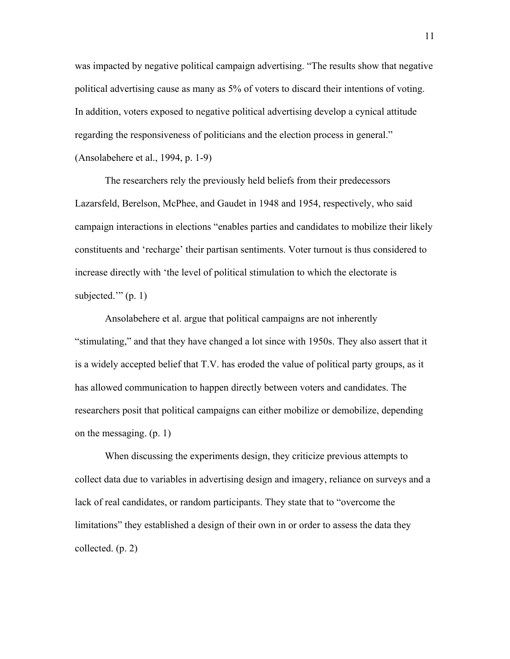was impacted by negative political campaign advertising. "The results show that negative political advertising cause as many as 5% of voters to discard their intentions of voting. In addition, voters exposed to negative political advertising develop a cynical attitude regarding the responsiveness of politicians and the election process in general." (Ansolabehere et al., 1994, p. 1-9)

The researchers rely the previously held beliefs from their predecessors Lazarsfeld, Berelson, McPhee, and Gaudet in 1948 and 1954, respectively, who said campaign interactions in elections "enables parties and candidates to mobilize their likely constituents and 'recharge' their partisan sentiments. Voter turnout is thus considered to increase directly with 'the level of political stimulation to which the electorate is subjected." $(p, 1)$ 

Ansolabehere et al. argue that political campaigns are not inherently "stimulating," and that they have changed a lot since with 1950s. They also assert that it is a widely accepted belief that T.V. has eroded the value of political party groups, as it has allowed communication to happen directly between voters and candidates. The researchers posit that political campaigns can either mobilize or demobilize, depending on the messaging. (p. 1)

When discussing the experiments design, they criticize previous attempts to collect data due to variables in advertising design and imagery, reliance on surveys and a lack of real candidates, or random participants. They state that to "overcome the limitations" they established a design of their own in or order to assess the data they collected. (p. 2)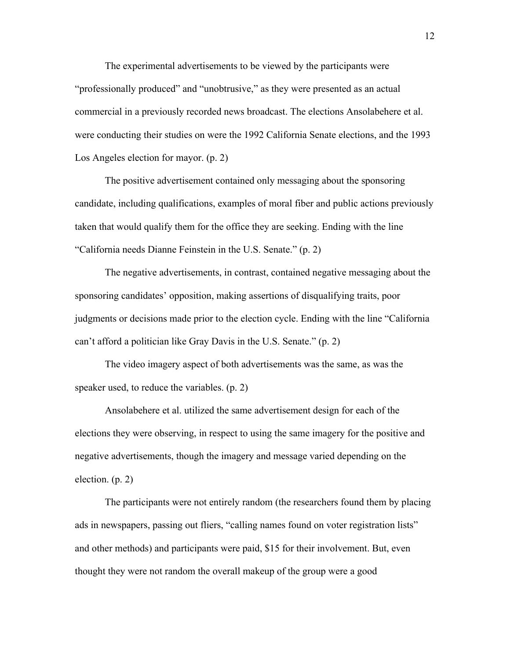The experimental advertisements to be viewed by the participants were "professionally produced" and "unobtrusive," as they were presented as an actual commercial in a previously recorded news broadcast. The elections Ansolabehere et al. were conducting their studies on were the 1992 California Senate elections, and the 1993 Los Angeles election for mayor. (p. 2)

The positive advertisement contained only messaging about the sponsoring candidate, including qualifications, examples of moral fiber and public actions previously taken that would qualify them for the office they are seeking. Ending with the line "California needs Dianne Feinstein in the U.S. Senate." (p. 2)

The negative advertisements, in contrast, contained negative messaging about the sponsoring candidates' opposition, making assertions of disqualifying traits, poor judgments or decisions made prior to the election cycle. Ending with the line "California can't afford a politician like Gray Davis in the U.S. Senate." (p. 2)

The video imagery aspect of both advertisements was the same, as was the speaker used, to reduce the variables. (p. 2)

Ansolabehere et al. utilized the same advertisement design for each of the elections they were observing, in respect to using the same imagery for the positive and negative advertisements, though the imagery and message varied depending on the election. (p. 2)

The participants were not entirely random (the researchers found them by placing ads in newspapers, passing out fliers, "calling names found on voter registration lists" and other methods) and participants were paid, \$15 for their involvement. But, even thought they were not random the overall makeup of the group were a good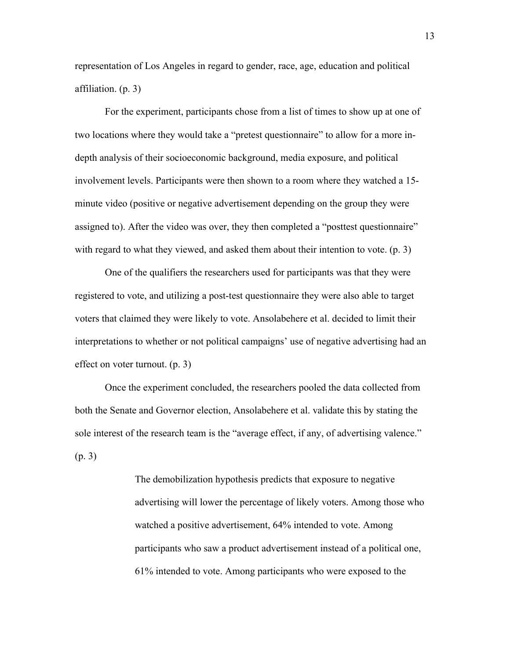representation of Los Angeles in regard to gender, race, age, education and political affiliation. (p. 3)

For the experiment, participants chose from a list of times to show up at one of two locations where they would take a "pretest questionnaire" to allow for a more indepth analysis of their socioeconomic background, media exposure, and political involvement levels. Participants were then shown to a room where they watched a 15 minute video (positive or negative advertisement depending on the group they were assigned to). After the video was over, they then completed a "posttest questionnaire" with regard to what they viewed, and asked them about their intention to vote. (p. 3)

One of the qualifiers the researchers used for participants was that they were registered to vote, and utilizing a post-test questionnaire they were also able to target voters that claimed they were likely to vote. Ansolabehere et al. decided to limit their interpretations to whether or not political campaigns' use of negative advertising had an effect on voter turnout. (p. 3)

Once the experiment concluded, the researchers pooled the data collected from both the Senate and Governor election, Ansolabehere et al. validate this by stating the sole interest of the research team is the "average effect, if any, of advertising valence." (p. 3)

> The demobilization hypothesis predicts that exposure to negative advertising will lower the percentage of likely voters. Among those who watched a positive advertisement, 64% intended to vote. Among participants who saw a product advertisement instead of a political one, 61% intended to vote. Among participants who were exposed to the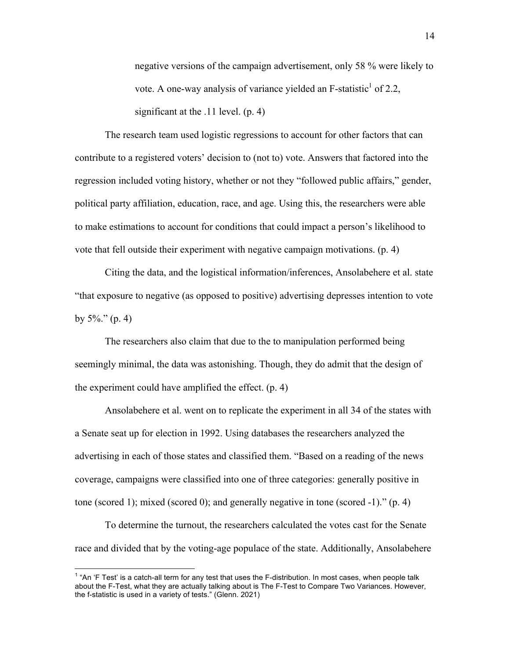negative versions of the campaign advertisement, only 58 % were likely to vote. A one-way analysis of variance yielded an  $F$ -statistic<sup>1</sup> of 2.2, significant at the .11 level. (p. 4)

The research team used logistic regressions to account for other factors that can contribute to a registered voters' decision to (not to) vote. Answers that factored into the regression included voting history, whether or not they "followed public affairs," gender, political party affiliation, education, race, and age. Using this, the researchers were able to make estimations to account for conditions that could impact a person's likelihood to vote that fell outside their experiment with negative campaign motivations. (p. 4)

Citing the data, and the logistical information/inferences, Ansolabehere et al. state "that exposure to negative (as opposed to positive) advertising depresses intention to vote by  $5\%$ ." (p. 4)

The researchers also claim that due to the to manipulation performed being seemingly minimal, the data was astonishing. Though, they do admit that the design of the experiment could have amplified the effect. (p. 4)

Ansolabehere et al. went on to replicate the experiment in all 34 of the states with a Senate seat up for election in 1992. Using databases the researchers analyzed the advertising in each of those states and classified them. "Based on a reading of the news coverage, campaigns were classified into one of three categories: generally positive in tone (scored 1); mixed (scored 0); and generally negative in tone (scored -1)."  $(p, 4)$ 

To determine the turnout, the researchers calculated the votes cast for the Senate race and divided that by the voting-age populace of the state. Additionally, Ansolabehere

 $1$  "An 'F Test' is a catch-all term for any test that uses the F-distribution. In most cases, when people talk about the F-Test, what they are actually talking about is The F-Test to Compare Two Variances. However, the f-statistic is used in a variety of tests." (Glenn. 2021)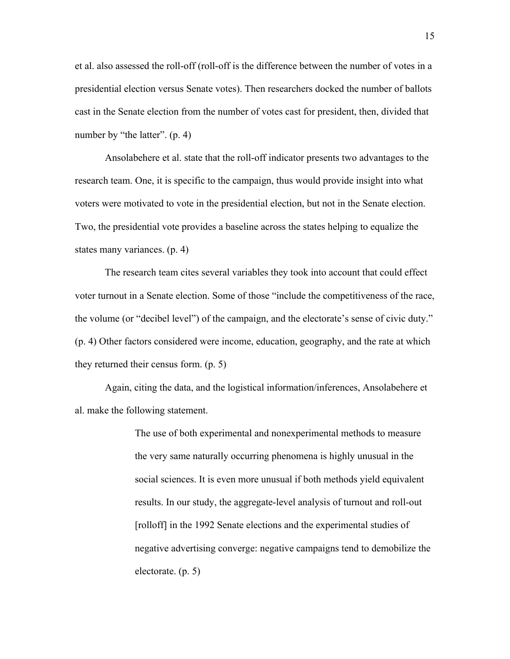et al. also assessed the roll-off (roll-off is the difference between the number of votes in a presidential election versus Senate votes). Then researchers docked the number of ballots cast in the Senate election from the number of votes cast for president, then, divided that number by "the latter". (p. 4)

Ansolabehere et al. state that the roll-off indicator presents two advantages to the research team. One, it is specific to the campaign, thus would provide insight into what voters were motivated to vote in the presidential election, but not in the Senate election. Two, the presidential vote provides a baseline across the states helping to equalize the states many variances. (p. 4)

The research team cites several variables they took into account that could effect voter turnout in a Senate election. Some of those "include the competitiveness of the race, the volume (or "decibel level") of the campaign, and the electorate's sense of civic duty." (p. 4) Other factors considered were income, education, geography, and the rate at which they returned their census form. (p. 5)

Again, citing the data, and the logistical information/inferences, Ansolabehere et al. make the following statement.

> The use of both experimental and nonexperimental methods to measure the very same naturally occurring phenomena is highly unusual in the social sciences. It is even more unusual if both methods yield equivalent results. In our study, the aggregate-level analysis of turnout and roll-out [rolloff] in the 1992 Senate elections and the experimental studies of negative advertising converge: negative campaigns tend to demobilize the electorate. (p. 5)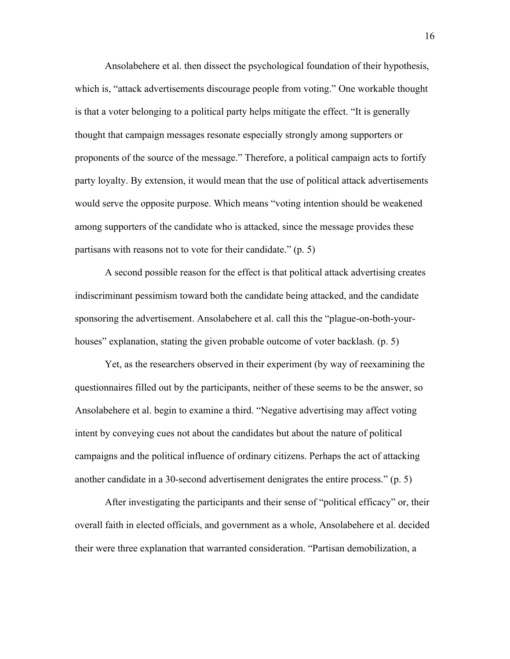Ansolabehere et al. then dissect the psychological foundation of their hypothesis, which is, "attack advertisements discourage people from voting." One workable thought is that a voter belonging to a political party helps mitigate the effect. "It is generally thought that campaign messages resonate especially strongly among supporters or proponents of the source of the message." Therefore, a political campaign acts to fortify party loyalty. By extension, it would mean that the use of political attack advertisements would serve the opposite purpose. Which means "voting intention should be weakened among supporters of the candidate who is attacked, since the message provides these partisans with reasons not to vote for their candidate." (p. 5)

A second possible reason for the effect is that political attack advertising creates indiscriminant pessimism toward both the candidate being attacked, and the candidate sponsoring the advertisement. Ansolabehere et al. call this the "plague-on-both-yourhouses" explanation, stating the given probable outcome of voter backlash. (p. 5)

Yet, as the researchers observed in their experiment (by way of reexamining the questionnaires filled out by the participants, neither of these seems to be the answer, so Ansolabehere et al. begin to examine a third. "Negative advertising may affect voting intent by conveying cues not about the candidates but about the nature of political campaigns and the political influence of ordinary citizens. Perhaps the act of attacking another candidate in a 30-second advertisement denigrates the entire process." (p. 5)

After investigating the participants and their sense of "political efficacy" or, their overall faith in elected officials, and government as a whole, Ansolabehere et al. decided their were three explanation that warranted consideration. "Partisan demobilization, a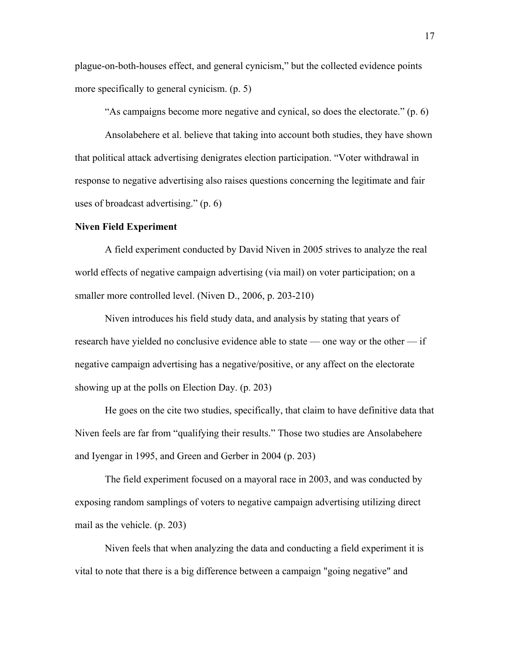plague-on-both-houses effect, and general cynicism," but the collected evidence points more specifically to general cynicism. (p. 5)

"As campaigns become more negative and cynical, so does the electorate." (p. 6)

Ansolabehere et al. believe that taking into account both studies, they have shown that political attack advertising denigrates election participation. "Voter withdrawal in response to negative advertising also raises questions concerning the legitimate and fair uses of broadcast advertising." (p. 6)

#### **Niven Field Experiment**

A field experiment conducted by David Niven in 2005 strives to analyze the real world effects of negative campaign advertising (via mail) on voter participation; on a smaller more controlled level. (Niven D., 2006, p. 203-210)

Niven introduces his field study data, and analysis by stating that years of research have yielded no conclusive evidence able to state — one way or the other — if negative campaign advertising has a negative/positive, or any affect on the electorate showing up at the polls on Election Day. (p. 203)

He goes on the cite two studies, specifically, that claim to have definitive data that Niven feels are far from "qualifying their results." Those two studies are Ansolabehere and Iyengar in 1995, and Green and Gerber in 2004 (p. 203)

The field experiment focused on a mayoral race in 2003, and was conducted by exposing random samplings of voters to negative campaign advertising utilizing direct mail as the vehicle. (p. 203)

Niven feels that when analyzing the data and conducting a field experiment it is vital to note that there is a big difference between a campaign "going negative" and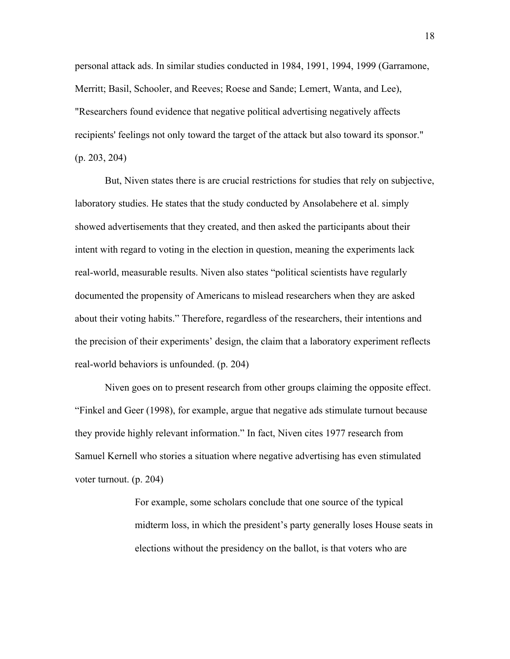personal attack ads. In similar studies conducted in 1984, 1991, 1994, 1999 (Garramone, Merritt; Basil, Schooler, and Reeves; Roese and Sande; Lemert, Wanta, and Lee), "Researchers found evidence that negative political advertising negatively affects recipients' feelings not only toward the target of the attack but also toward its sponsor." (p. 203, 204)

But, Niven states there is are crucial restrictions for studies that rely on subjective, laboratory studies. He states that the study conducted by Ansolabehere et al. simply showed advertisements that they created, and then asked the participants about their intent with regard to voting in the election in question, meaning the experiments lack real-world, measurable results. Niven also states "political scientists have regularly documented the propensity of Americans to mislead researchers when they are asked about their voting habits." Therefore, regardless of the researchers, their intentions and the precision of their experiments' design, the claim that a laboratory experiment reflects real-world behaviors is unfounded. (p. 204)

Niven goes on to present research from other groups claiming the opposite effect. "Finkel and Geer (1998), for example, argue that negative ads stimulate turnout because they provide highly relevant information." In fact, Niven cites 1977 research from Samuel Kernell who stories a situation where negative advertising has even stimulated voter turnout. (p. 204)

> For example, some scholars conclude that one source of the typical midterm loss, in which the president's party generally loses House seats in elections without the presidency on the ballot, is that voters who are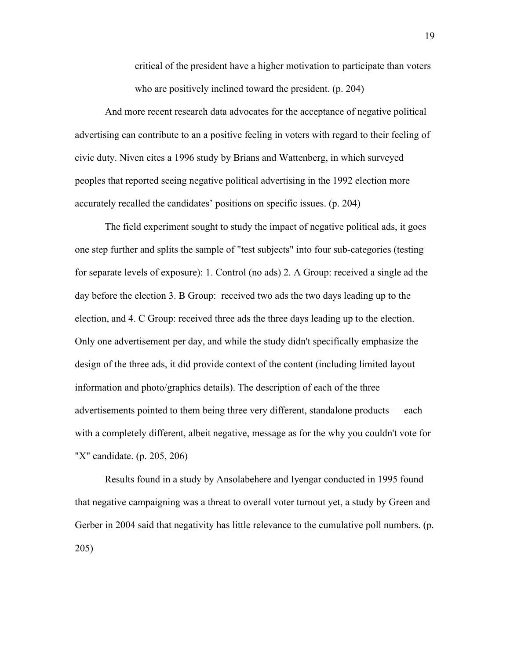critical of the president have a higher motivation to participate than voters who are positively inclined toward the president. (p. 204)

And more recent research data advocates for the acceptance of negative political advertising can contribute to an a positive feeling in voters with regard to their feeling of civic duty. Niven cites a 1996 study by Brians and Wattenberg, in which surveyed peoples that reported seeing negative political advertising in the 1992 election more accurately recalled the candidates' positions on specific issues. (p. 204)

The field experiment sought to study the impact of negative political ads, it goes one step further and splits the sample of "test subjects" into four sub-categories (testing for separate levels of exposure): 1. Control (no ads) 2. A Group: received a single ad the day before the election 3. B Group: received two ads the two days leading up to the election, and 4. C Group: received three ads the three days leading up to the election. Only one advertisement per day, and while the study didn't specifically emphasize the design of the three ads, it did provide context of the content (including limited layout information and photo/graphics details). The description of each of the three advertisements pointed to them being three very different, standalone products — each with a completely different, albeit negative, message as for the why you couldn't vote for "X" candidate. (p. 205, 206)

Results found in a study by Ansolabehere and Iyengar conducted in 1995 found that negative campaigning was a threat to overall voter turnout yet, a study by Green and Gerber in 2004 said that negativity has little relevance to the cumulative poll numbers. (p. 205)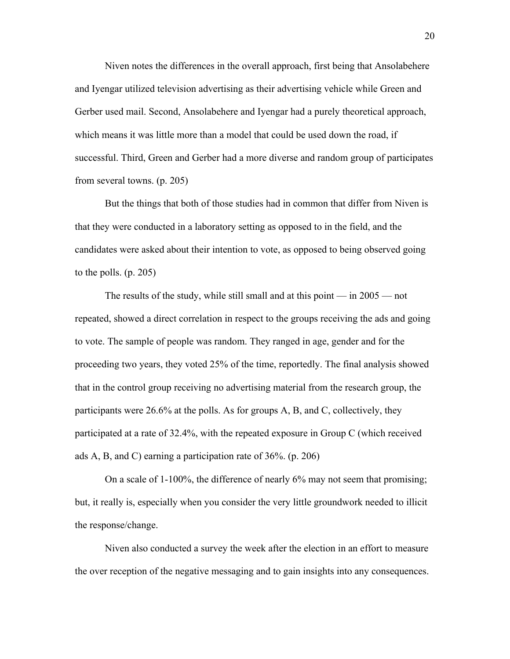Niven notes the differences in the overall approach, first being that Ansolabehere and Iyengar utilized television advertising as their advertising vehicle while Green and Gerber used mail. Second, Ansolabehere and Iyengar had a purely theoretical approach, which means it was little more than a model that could be used down the road, if successful. Third, Green and Gerber had a more diverse and random group of participates from several towns. (p. 205)

But the things that both of those studies had in common that differ from Niven is that they were conducted in a laboratory setting as opposed to in the field, and the candidates were asked about their intention to vote, as opposed to being observed going to the polls. (p. 205)

The results of the study, while still small and at this point  $-$  in 2005  $-$  not repeated, showed a direct correlation in respect to the groups receiving the ads and going to vote. The sample of people was random. They ranged in age, gender and for the proceeding two years, they voted 25% of the time, reportedly. The final analysis showed that in the control group receiving no advertising material from the research group, the participants were 26.6% at the polls. As for groups A, B, and C, collectively, they participated at a rate of 32.4%, with the repeated exposure in Group C (which received ads A, B, and C) earning a participation rate of 36%. (p. 206)

On a scale of 1-100%, the difference of nearly 6% may not seem that promising; but, it really is, especially when you consider the very little groundwork needed to illicit the response/change.

Niven also conducted a survey the week after the election in an effort to measure the over reception of the negative messaging and to gain insights into any consequences.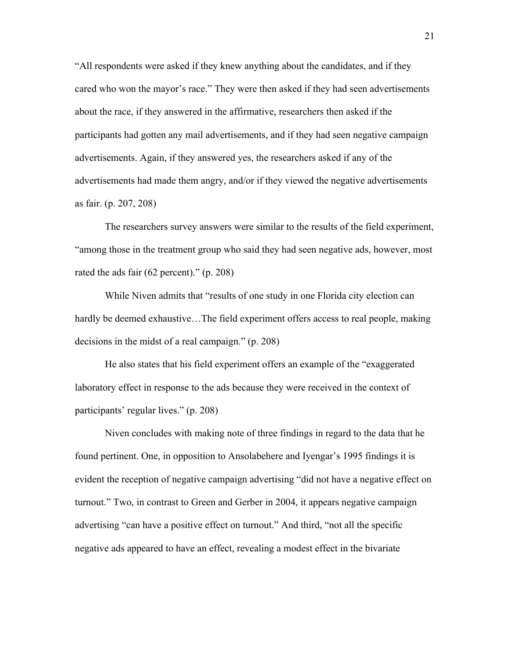"All respondents were asked if they knew anything about the candidates, and if they cared who won the mayor's race." They were then asked if they had seen advertisements about the race, if they answered in the affirmative, researchers then asked if the participants had gotten any mail advertisements, and if they had seen negative campaign advertisements. Again, if they answered yes, the researchers asked if any of the advertisements had made them angry, and/or if they viewed the negative advertisements as fair. (p. 207, 208)

The researchers survey answers were similar to the results of the field experiment, "among those in the treatment group who said they had seen negative ads, however, most rated the ads fair (62 percent)." (p. 208)

While Niven admits that "results of one study in one Florida city election can hardly be deemed exhaustive…The field experiment offers access to real people, making decisions in the midst of a real campaign." (p. 208)

He also states that his field experiment offers an example of the "exaggerated laboratory effect in response to the ads because they were received in the context of participants' regular lives." (p. 208)

Niven concludes with making note of three findings in regard to the data that he found pertinent. One, in opposition to Ansolabehere and Iyengar's 1995 findings it is evident the reception of negative campaign advertising "did not have a negative effect on turnout." Two, in contrast to Green and Gerber in 2004, it appears negative campaign advertising "can have a positive effect on turnout." And third, "not all the specific negative ads appeared to have an effect, revealing a modest effect in the bivariate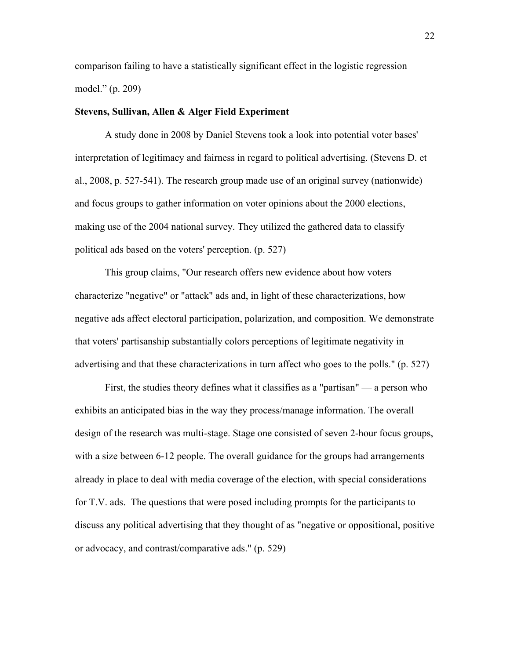comparison failing to have a statistically significant effect in the logistic regression model." (p. 209)

#### **Stevens, Sullivan, Allen & Alger Field Experiment**

A study done in 2008 by Daniel Stevens took a look into potential voter bases' interpretation of legitimacy and fairness in regard to political advertising. (Stevens D. et al., 2008, p. 527-541). The research group made use of an original survey (nationwide) and focus groups to gather information on voter opinions about the 2000 elections, making use of the 2004 national survey. They utilized the gathered data to classify political ads based on the voters' perception. (p. 527)

This group claims, "Our research offers new evidence about how voters characterize "negative" or "attack" ads and, in light of these characterizations, how negative ads affect electoral participation, polarization, and composition. We demonstrate that voters' partisanship substantially colors perceptions of legitimate negativity in advertising and that these characterizations in turn affect who goes to the polls." (p. 527)

First, the studies theory defines what it classifies as a "partisan" — a person who exhibits an anticipated bias in the way they process/manage information. The overall design of the research was multi-stage. Stage one consisted of seven 2-hour focus groups, with a size between 6-12 people. The overall guidance for the groups had arrangements already in place to deal with media coverage of the election, with special considerations for T.V. ads. The questions that were posed including prompts for the participants to discuss any political advertising that they thought of as "negative or oppositional, positive or advocacy, and contrast/comparative ads." (p. 529)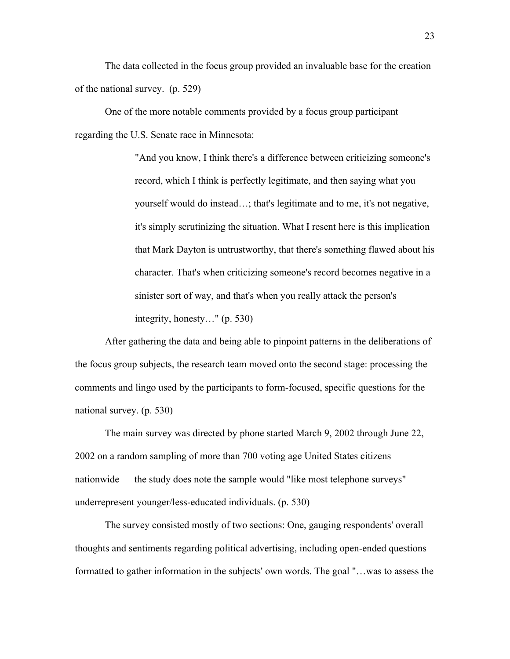The data collected in the focus group provided an invaluable base for the creation of the national survey. (p. 529)

One of the more notable comments provided by a focus group participant regarding the U.S. Senate race in Minnesota:

> "And you know, I think there's a difference between criticizing someone's record, which I think is perfectly legitimate, and then saying what you yourself would do instead…; that's legitimate and to me, it's not negative, it's simply scrutinizing the situation. What I resent here is this implication that Mark Dayton is untrustworthy, that there's something flawed about his character. That's when criticizing someone's record becomes negative in a sinister sort of way, and that's when you really attack the person's integrity, honesty…" (p. 530)

After gathering the data and being able to pinpoint patterns in the deliberations of the focus group subjects, the research team moved onto the second stage: processing the comments and lingo used by the participants to form-focused, specific questions for the national survey. (p. 530)

The main survey was directed by phone started March 9, 2002 through June 22, 2002 on a random sampling of more than 700 voting age United States citizens nationwide — the study does note the sample would "like most telephone surveys" underrepresent younger/less-educated individuals. (p. 530)

The survey consisted mostly of two sections: One, gauging respondents' overall thoughts and sentiments regarding political advertising, including open-ended questions formatted to gather information in the subjects' own words. The goal "…was to assess the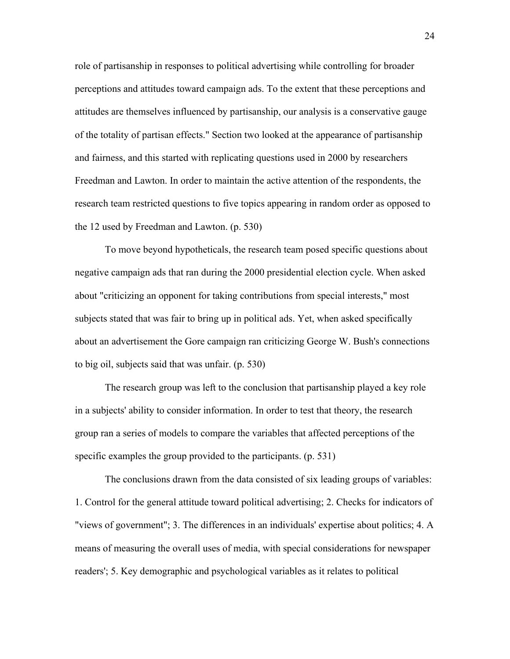role of partisanship in responses to political advertising while controlling for broader perceptions and attitudes toward campaign ads. To the extent that these perceptions and attitudes are themselves influenced by partisanship, our analysis is a conservative gauge of the totality of partisan effects." Section two looked at the appearance of partisanship and fairness, and this started with replicating questions used in 2000 by researchers Freedman and Lawton. In order to maintain the active attention of the respondents, the research team restricted questions to five topics appearing in random order as opposed to the 12 used by Freedman and Lawton. (p. 530)

To move beyond hypotheticals, the research team posed specific questions about negative campaign ads that ran during the 2000 presidential election cycle. When asked about "criticizing an opponent for taking contributions from special interests," most subjects stated that was fair to bring up in political ads. Yet, when asked specifically about an advertisement the Gore campaign ran criticizing George W. Bush's connections to big oil, subjects said that was unfair. (p. 530)

The research group was left to the conclusion that partisanship played a key role in a subjects' ability to consider information. In order to test that theory, the research group ran a series of models to compare the variables that affected perceptions of the specific examples the group provided to the participants. (p. 531)

The conclusions drawn from the data consisted of six leading groups of variables: 1. Control for the general attitude toward political advertising; 2. Checks for indicators of "views of government"; 3. The differences in an individuals' expertise about politics; 4. A means of measuring the overall uses of media, with special considerations for newspaper readers'; 5. Key demographic and psychological variables as it relates to political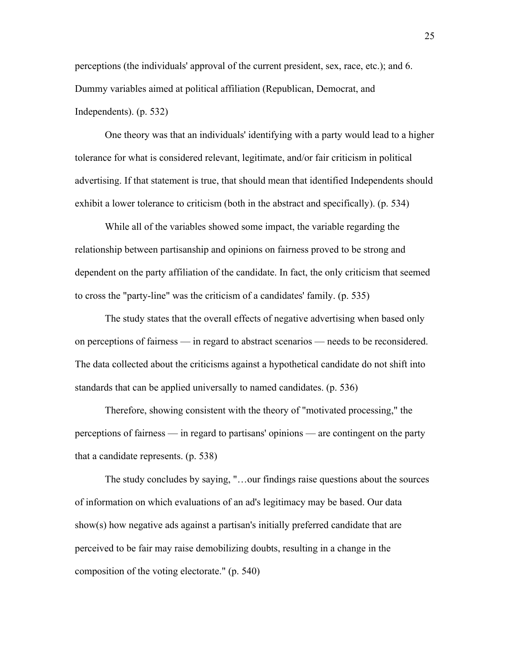perceptions (the individuals' approval of the current president, sex, race, etc.); and 6. Dummy variables aimed at political affiliation (Republican, Democrat, and Independents). (p. 532)

One theory was that an individuals' identifying with a party would lead to a higher tolerance for what is considered relevant, legitimate, and/or fair criticism in political advertising. If that statement is true, that should mean that identified Independents should exhibit a lower tolerance to criticism (both in the abstract and specifically). (p. 534)

While all of the variables showed some impact, the variable regarding the relationship between partisanship and opinions on fairness proved to be strong and dependent on the party affiliation of the candidate. In fact, the only criticism that seemed to cross the "party-line" was the criticism of a candidates' family. (p. 535)

The study states that the overall effects of negative advertising when based only on perceptions of fairness — in regard to abstract scenarios — needs to be reconsidered. The data collected about the criticisms against a hypothetical candidate do not shift into standards that can be applied universally to named candidates. (p. 536)

Therefore, showing consistent with the theory of "motivated processing," the perceptions of fairness — in regard to partisans' opinions — are contingent on the party that a candidate represents. (p. 538)

The study concludes by saying, "…our findings raise questions about the sources of information on which evaluations of an ad's legitimacy may be based. Our data show(s) how negative ads against a partisan's initially preferred candidate that are perceived to be fair may raise demobilizing doubts, resulting in a change in the composition of the voting electorate." (p. 540)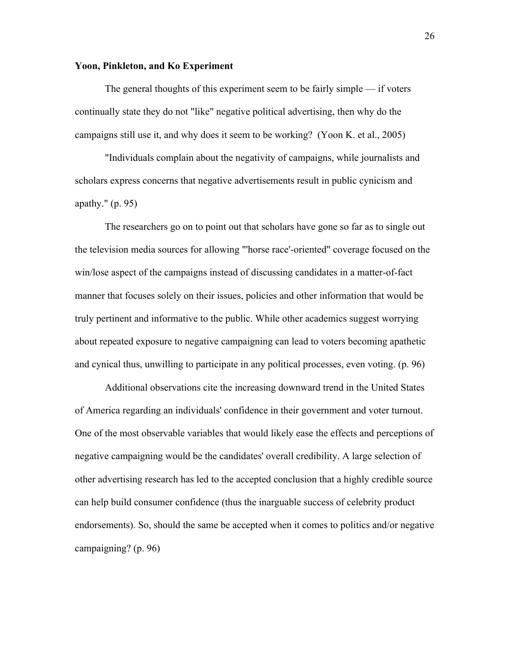#### **Yoon, Pinkleton, and Ko Experiment**

The general thoughts of this experiment seem to be fairly simple — if voters continually state they do not "like" negative political advertising, then why do the campaigns still use it, and why does it seem to be working? (Yoon K. et al., 2005)

"Individuals complain about the negativity of campaigns, while journalists and scholars express concerns that negative advertisements result in public cynicism and apathy." (p. 95)

The researchers go on to point out that scholars have gone so far as to single out the television media sources for allowing "'horse race'-oriented" coverage focused on the win/lose aspect of the campaigns instead of discussing candidates in a matter-of-fact manner that focuses solely on their issues, policies and other information that would be truly pertinent and informative to the public. While other academics suggest worrying about repeated exposure to negative campaigning can lead to voters becoming apathetic and cynical thus, unwilling to participate in any political processes, even voting. (p. 96)

Additional observations cite the increasing downward trend in the United States of America regarding an individuals' confidence in their government and voter turnout. One of the most observable variables that would likely ease the effects and perceptions of negative campaigning would be the candidates' overall credibility. A large selection of other advertising research has led to the accepted conclusion that a highly credible source can help build consumer confidence (thus the inarguable success of celebrity product endorsements). So, should the same be accepted when it comes to politics and/or negative campaigning? (p. 96)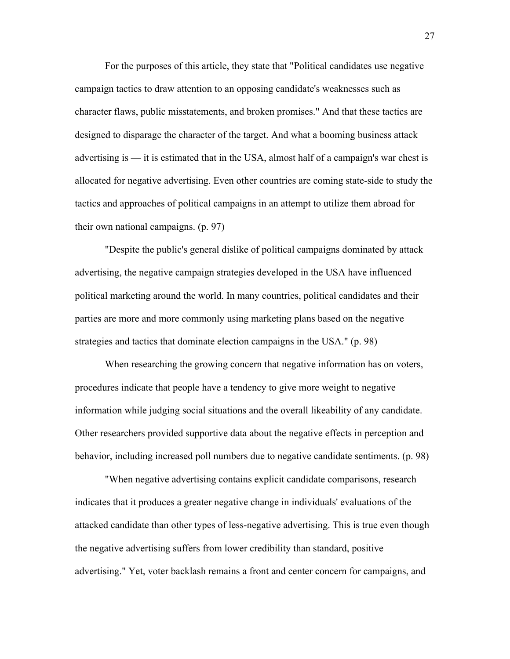For the purposes of this article, they state that "Political candidates use negative campaign tactics to draw attention to an opposing candidate's weaknesses such as character flaws, public misstatements, and broken promises." And that these tactics are designed to disparage the character of the target. And what a booming business attack advertising is — it is estimated that in the USA, almost half of a campaign's war chest is allocated for negative advertising. Even other countries are coming state-side to study the tactics and approaches of political campaigns in an attempt to utilize them abroad for their own national campaigns. (p. 97)

"Despite the public's general dislike of political campaigns dominated by attack advertising, the negative campaign strategies developed in the USA have influenced political marketing around the world. In many countries, political candidates and their parties are more and more commonly using marketing plans based on the negative strategies and tactics that dominate election campaigns in the USA." (p. 98)

When researching the growing concern that negative information has on voters, procedures indicate that people have a tendency to give more weight to negative information while judging social situations and the overall likeability of any candidate. Other researchers provided supportive data about the negative effects in perception and behavior, including increased poll numbers due to negative candidate sentiments. (p. 98)

"When negative advertising contains explicit candidate comparisons, research indicates that it produces a greater negative change in individuals' evaluations of the attacked candidate than other types of less-negative advertising. This is true even though the negative advertising suffers from lower credibility than standard, positive advertising." Yet, voter backlash remains a front and center concern for campaigns, and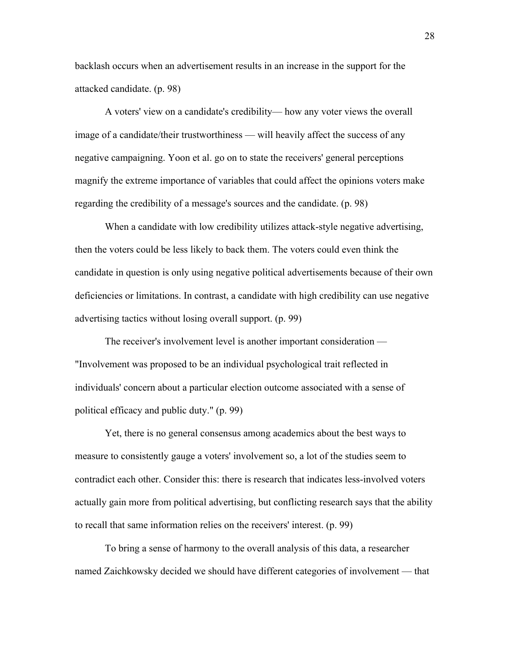backlash occurs when an advertisement results in an increase in the support for the attacked candidate. (p. 98)

A voters' view on a candidate's credibility— how any voter views the overall image of a candidate/their trustworthiness — will heavily affect the success of any negative campaigning. Yoon et al. go on to state the receivers' general perceptions magnify the extreme importance of variables that could affect the opinions voters make regarding the credibility of a message's sources and the candidate. (p. 98)

When a candidate with low credibility utilizes attack-style negative advertising, then the voters could be less likely to back them. The voters could even think the candidate in question is only using negative political advertisements because of their own deficiencies or limitations. In contrast, a candidate with high credibility can use negative advertising tactics without losing overall support. (p. 99)

The receiver's involvement level is another important consideration — "Involvement was proposed to be an individual psychological trait reflected in individuals' concern about a particular election outcome associated with a sense of political efficacy and public duty." (p. 99)

Yet, there is no general consensus among academics about the best ways to measure to consistently gauge a voters' involvement so, a lot of the studies seem to contradict each other. Consider this: there is research that indicates less-involved voters actually gain more from political advertising, but conflicting research says that the ability to recall that same information relies on the receivers' interest. (p. 99)

To bring a sense of harmony to the overall analysis of this data, a researcher named Zaichkowsky decided we should have different categories of involvement — that

28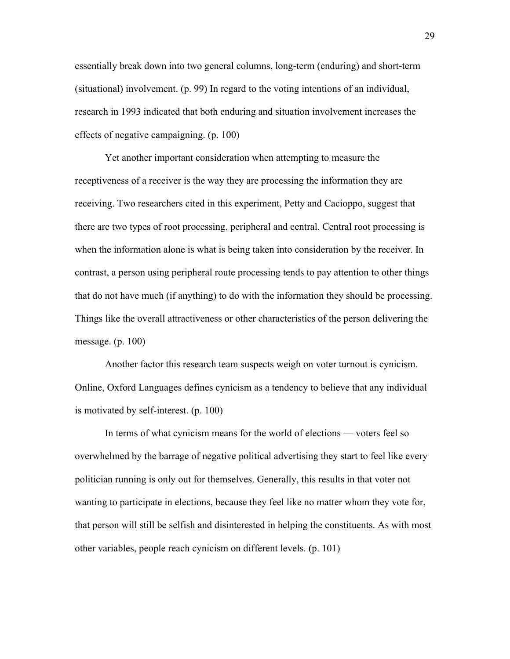essentially break down into two general columns, long-term (enduring) and short-term (situational) involvement. (p. 99) In regard to the voting intentions of an individual, research in 1993 indicated that both enduring and situation involvement increases the effects of negative campaigning. (p. 100)

Yet another important consideration when attempting to measure the receptiveness of a receiver is the way they are processing the information they are receiving. Two researchers cited in this experiment, Petty and Cacioppo, suggest that there are two types of root processing, peripheral and central. Central root processing is when the information alone is what is being taken into consideration by the receiver. In contrast, a person using peripheral route processing tends to pay attention to other things that do not have much (if anything) to do with the information they should be processing. Things like the overall attractiveness or other characteristics of the person delivering the message. (p. 100)

Another factor this research team suspects weigh on voter turnout is cynicism. Online, Oxford Languages defines cynicism as a tendency to believe that any individual is motivated by self-interest. (p. 100)

In terms of what cynicism means for the world of elections — voters feel so overwhelmed by the barrage of negative political advertising they start to feel like every politician running is only out for themselves. Generally, this results in that voter not wanting to participate in elections, because they feel like no matter whom they vote for, that person will still be selfish and disinterested in helping the constituents. As with most other variables, people reach cynicism on different levels. (p. 101)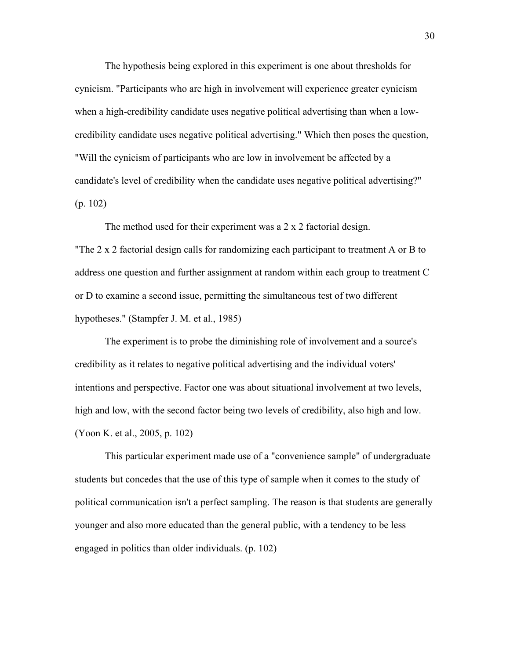The hypothesis being explored in this experiment is one about thresholds for cynicism. "Participants who are high in involvement will experience greater cynicism when a high-credibility candidate uses negative political advertising than when a lowcredibility candidate uses negative political advertising." Which then poses the question, "Will the cynicism of participants who are low in involvement be affected by a candidate's level of credibility when the candidate uses negative political advertising?" (p. 102)

The method used for their experiment was a 2 x 2 factorial design. "The 2 x 2 factorial design calls for randomizing each participant to treatment A or B to address one question and further assignment at random within each group to treatment C or D to examine a second issue, permitting the simultaneous test of two different hypotheses." (Stampfer J. M. et al., 1985)

The experiment is to probe the diminishing role of involvement and a source's credibility as it relates to negative political advertising and the individual voters' intentions and perspective. Factor one was about situational involvement at two levels, high and low, with the second factor being two levels of credibility, also high and low. (Yoon K. et al., 2005, p. 102)

This particular experiment made use of a "convenience sample" of undergraduate students but concedes that the use of this type of sample when it comes to the study of political communication isn't a perfect sampling. The reason is that students are generally younger and also more educated than the general public, with a tendency to be less engaged in politics than older individuals. (p. 102)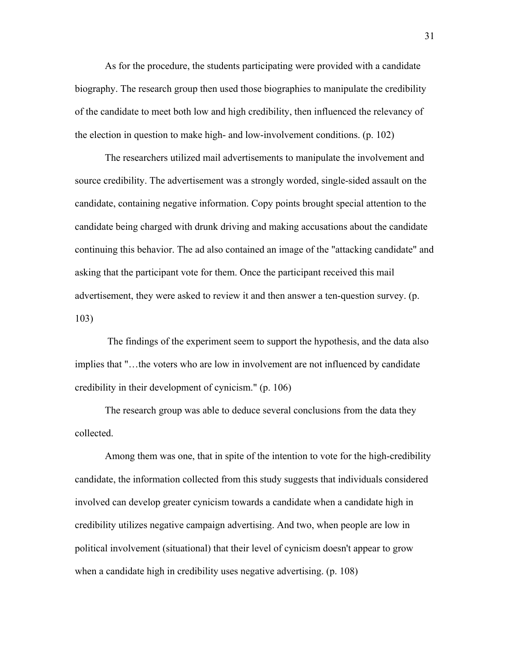As for the procedure, the students participating were provided with a candidate biography. The research group then used those biographies to manipulate the credibility of the candidate to meet both low and high credibility, then influenced the relevancy of the election in question to make high- and low-involvement conditions. (p. 102)

The researchers utilized mail advertisements to manipulate the involvement and source credibility. The advertisement was a strongly worded, single-sided assault on the candidate, containing negative information. Copy points brought special attention to the candidate being charged with drunk driving and making accusations about the candidate continuing this behavior. The ad also contained an image of the "attacking candidate" and asking that the participant vote for them. Once the participant received this mail advertisement, they were asked to review it and then answer a ten-question survey. (p. 103)

The findings of the experiment seem to support the hypothesis, and the data also implies that "…the voters who are low in involvement are not influenced by candidate credibility in their development of cynicism." (p. 106)

The research group was able to deduce several conclusions from the data they collected.

Among them was one, that in spite of the intention to vote for the high-credibility candidate, the information collected from this study suggests that individuals considered involved can develop greater cynicism towards a candidate when a candidate high in credibility utilizes negative campaign advertising. And two, when people are low in political involvement (situational) that their level of cynicism doesn't appear to grow when a candidate high in credibility uses negative advertising. (p. 108)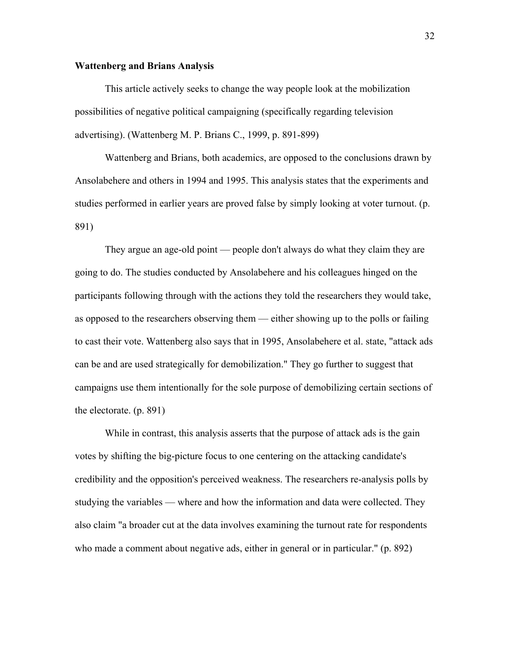#### **Wattenberg and Brians Analysis**

This article actively seeks to change the way people look at the mobilization possibilities of negative political campaigning (specifically regarding television advertising). (Wattenberg M. P. Brians C., 1999, p. 891-899)

Wattenberg and Brians, both academics, are opposed to the conclusions drawn by Ansolabehere and others in 1994 and 1995. This analysis states that the experiments and studies performed in earlier years are proved false by simply looking at voter turnout. (p. 891)

They argue an age-old point — people don't always do what they claim they are going to do. The studies conducted by Ansolabehere and his colleagues hinged on the participants following through with the actions they told the researchers they would take, as opposed to the researchers observing them — either showing up to the polls or failing to cast their vote. Wattenberg also says that in 1995, Ansolabehere et al. state, "attack ads can be and are used strategically for demobilization." They go further to suggest that campaigns use them intentionally for the sole purpose of demobilizing certain sections of the electorate. (p. 891)

While in contrast, this analysis asserts that the purpose of attack ads is the gain votes by shifting the big-picture focus to one centering on the attacking candidate's credibility and the opposition's perceived weakness. The researchers re-analysis polls by studying the variables — where and how the information and data were collected. They also claim "a broader cut at the data involves examining the turnout rate for respondents who made a comment about negative ads, either in general or in particular." (p. 892)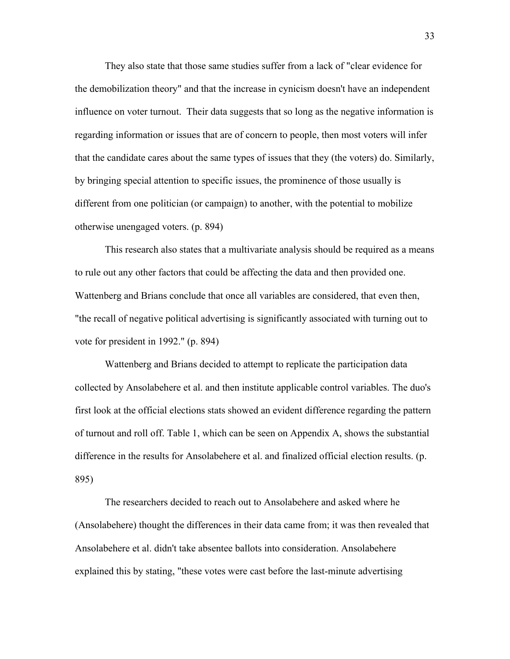They also state that those same studies suffer from a lack of "clear evidence for the demobilization theory" and that the increase in cynicism doesn't have an independent influence on voter turnout. Their data suggests that so long as the negative information is regarding information or issues that are of concern to people, then most voters will infer that the candidate cares about the same types of issues that they (the voters) do. Similarly, by bringing special attention to specific issues, the prominence of those usually is different from one politician (or campaign) to another, with the potential to mobilize otherwise unengaged voters. (p. 894)

This research also states that a multivariate analysis should be required as a means to rule out any other factors that could be affecting the data and then provided one. Wattenberg and Brians conclude that once all variables are considered, that even then, "the recall of negative political advertising is significantly associated with turning out to vote for president in 1992." (p. 894)

Wattenberg and Brians decided to attempt to replicate the participation data collected by Ansolabehere et al. and then institute applicable control variables. The duo's first look at the official elections stats showed an evident difference regarding the pattern of turnout and roll off. Table 1, which can be seen on Appendix A, shows the substantial difference in the results for Ansolabehere et al. and finalized official election results. (p. 895)

The researchers decided to reach out to Ansolabehere and asked where he (Ansolabehere) thought the differences in their data came from; it was then revealed that Ansolabehere et al. didn't take absentee ballots into consideration. Ansolabehere explained this by stating, "these votes were cast before the last-minute advertising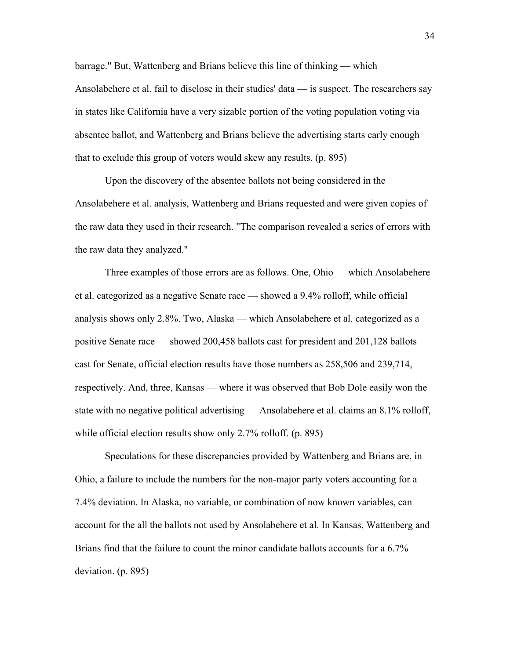barrage." But, Wattenberg and Brians believe this line of thinking — which Ansolabehere et al. fail to disclose in their studies' data — is suspect. The researchers say in states like California have a very sizable portion of the voting population voting via absentee ballot, and Wattenberg and Brians believe the advertising starts early enough that to exclude this group of voters would skew any results. (p. 895)

Upon the discovery of the absentee ballots not being considered in the Ansolabehere et al. analysis, Wattenberg and Brians requested and were given copies of the raw data they used in their research. "The comparison revealed a series of errors with the raw data they analyzed."

Three examples of those errors are as follows. One, Ohio — which Ansolabehere et al. categorized as a negative Senate race — showed a 9.4% rolloff, while official analysis shows only 2.8%. Two, Alaska — which Ansolabehere et al. categorized as a positive Senate race — showed 200,458 ballots cast for president and 201,128 ballots cast for Senate, official election results have those numbers as 258,506 and 239,714, respectively. And, three, Kansas — where it was observed that Bob Dole easily won the state with no negative political advertising — Ansolabehere et al. claims an 8.1% rolloff, while official election results show only 2.7% rolloff. (p. 895)

Speculations for these discrepancies provided by Wattenberg and Brians are, in Ohio, a failure to include the numbers for the non-major party voters accounting for a 7.4% deviation. In Alaska, no variable, or combination of now known variables, can account for the all the ballots not used by Ansolabehere et al. In Kansas, Wattenberg and Brians find that the failure to count the minor candidate ballots accounts for a 6.7% deviation. (p. 895)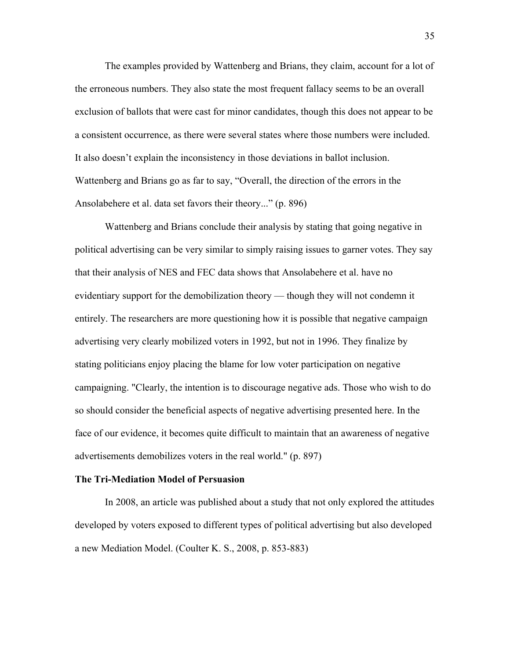The examples provided by Wattenberg and Brians, they claim, account for a lot of the erroneous numbers. They also state the most frequent fallacy seems to be an overall exclusion of ballots that were cast for minor candidates, though this does not appear to be a consistent occurrence, as there were several states where those numbers were included. It also doesn't explain the inconsistency in those deviations in ballot inclusion. Wattenberg and Brians go as far to say, "Overall, the direction of the errors in the Ansolabehere et al. data set favors their theory..." (p. 896)

Wattenberg and Brians conclude their analysis by stating that going negative in political advertising can be very similar to simply raising issues to garner votes. They say that their analysis of NES and FEC data shows that Ansolabehere et al. have no evidentiary support for the demobilization theory — though they will not condemn it entirely. The researchers are more questioning how it is possible that negative campaign advertising very clearly mobilized voters in 1992, but not in 1996. They finalize by stating politicians enjoy placing the blame for low voter participation on negative campaigning. "Clearly, the intention is to discourage negative ads. Those who wish to do so should consider the beneficial aspects of negative advertising presented here. In the face of our evidence, it becomes quite difficult to maintain that an awareness of negative advertisements demobilizes voters in the real world." (p. 897)

#### **The Tri-Mediation Model of Persuasion**

In 2008, an article was published about a study that not only explored the attitudes developed by voters exposed to different types of political advertising but also developed a new Mediation Model. (Coulter K. S., 2008, p. 853-883)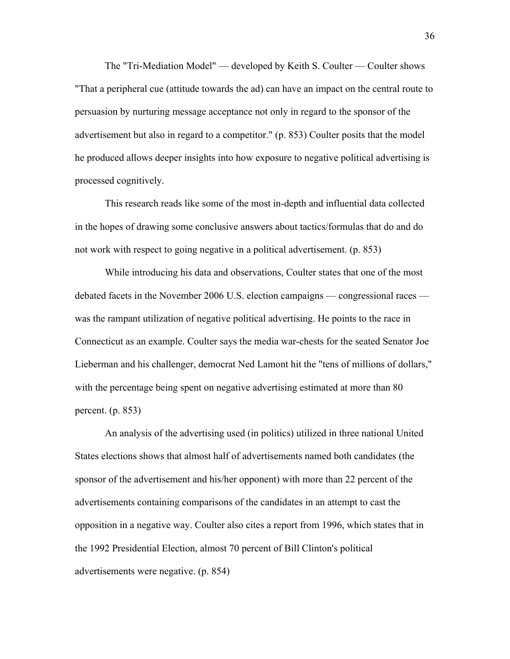The "Tri-Mediation Model" — developed by Keith S. Coulter — Coulter shows "That a peripheral cue (attitude towards the ad) can have an impact on the central route to persuasion by nurturing message acceptance not only in regard to the sponsor of the advertisement but also in regard to a competitor." (p. 853) Coulter posits that the model he produced allows deeper insights into how exposure to negative political advertising is processed cognitively.

This research reads like some of the most in-depth and influential data collected in the hopes of drawing some conclusive answers about tactics/formulas that do and do not work with respect to going negative in a political advertisement. (p. 853)

While introducing his data and observations, Coulter states that one of the most debated facets in the November 2006 U.S. election campaigns — congressional races was the rampant utilization of negative political advertising. He points to the race in Connecticut as an example. Coulter says the media war-chests for the seated Senator Joe Lieberman and his challenger, democrat Ned Lamont hit the "tens of millions of dollars," with the percentage being spent on negative advertising estimated at more than 80 percent. (p. 853)

An analysis of the advertising used (in politics) utilized in three national United States elections shows that almost half of advertisements named both candidates (the sponsor of the advertisement and his/her opponent) with more than 22 percent of the advertisements containing comparisons of the candidates in an attempt to cast the opposition in a negative way. Coulter also cites a report from 1996, which states that in the 1992 Presidential Election, almost 70 percent of Bill Clinton's political advertisements were negative. (p. 854)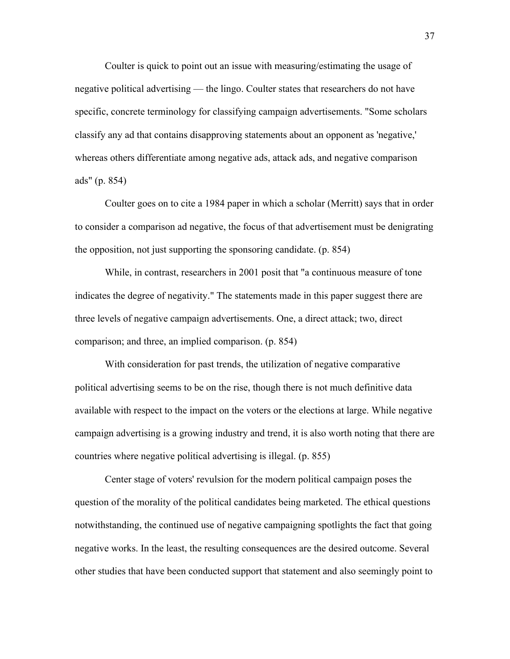Coulter is quick to point out an issue with measuring/estimating the usage of negative political advertising — the lingo. Coulter states that researchers do not have specific, concrete terminology for classifying campaign advertisements. "Some scholars classify any ad that contains disapproving statements about an opponent as 'negative,' whereas others differentiate among negative ads, attack ads, and negative comparison ads" (p. 854)

Coulter goes on to cite a 1984 paper in which a scholar (Merritt) says that in order to consider a comparison ad negative, the focus of that advertisement must be denigrating the opposition, not just supporting the sponsoring candidate. (p. 854)

While, in contrast, researchers in 2001 posit that "a continuous measure of tone indicates the degree of negativity." The statements made in this paper suggest there are three levels of negative campaign advertisements. One, a direct attack; two, direct comparison; and three, an implied comparison. (p. 854)

With consideration for past trends, the utilization of negative comparative political advertising seems to be on the rise, though there is not much definitive data available with respect to the impact on the voters or the elections at large. While negative campaign advertising is a growing industry and trend, it is also worth noting that there are countries where negative political advertising is illegal. (p. 855)

Center stage of voters' revulsion for the modern political campaign poses the question of the morality of the political candidates being marketed. The ethical questions notwithstanding, the continued use of negative campaigning spotlights the fact that going negative works. In the least, the resulting consequences are the desired outcome. Several other studies that have been conducted support that statement and also seemingly point to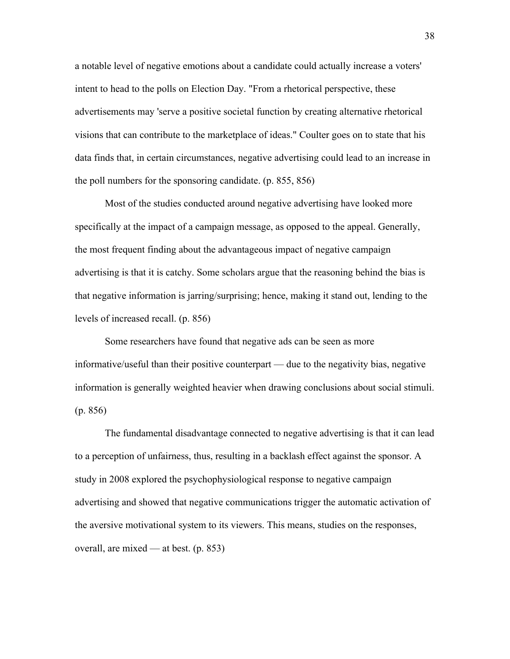a notable level of negative emotions about a candidate could actually increase a voters' intent to head to the polls on Election Day. "From a rhetorical perspective, these advertisements may 'serve a positive societal function by creating alternative rhetorical visions that can contribute to the marketplace of ideas." Coulter goes on to state that his data finds that, in certain circumstances, negative advertising could lead to an increase in the poll numbers for the sponsoring candidate. (p. 855, 856)

Most of the studies conducted around negative advertising have looked more specifically at the impact of a campaign message, as opposed to the appeal. Generally, the most frequent finding about the advantageous impact of negative campaign advertising is that it is catchy. Some scholars argue that the reasoning behind the bias is that negative information is jarring/surprising; hence, making it stand out, lending to the levels of increased recall. (p. 856)

Some researchers have found that negative ads can be seen as more informative/useful than their positive counterpart — due to the negativity bias, negative information is generally weighted heavier when drawing conclusions about social stimuli. (p. 856)

The fundamental disadvantage connected to negative advertising is that it can lead to a perception of unfairness, thus, resulting in a backlash effect against the sponsor. A study in 2008 explored the psychophysiological response to negative campaign advertising and showed that negative communications trigger the automatic activation of the aversive motivational system to its viewers. This means, studies on the responses, overall, are mixed — at best. (p. 853)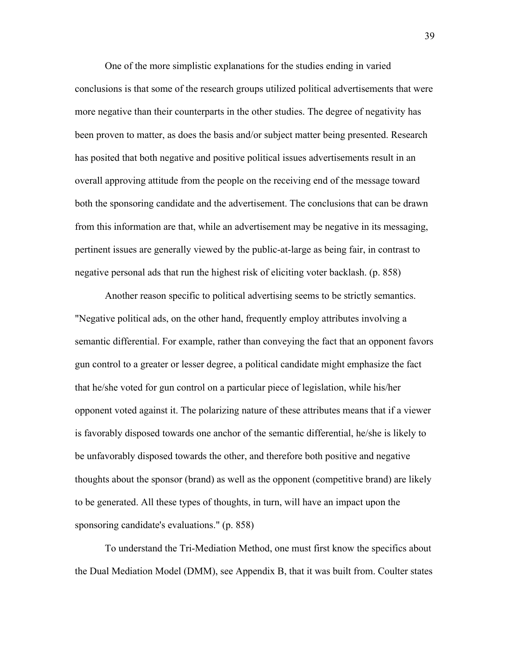One of the more simplistic explanations for the studies ending in varied conclusions is that some of the research groups utilized political advertisements that were more negative than their counterparts in the other studies. The degree of negativity has been proven to matter, as does the basis and/or subject matter being presented. Research has posited that both negative and positive political issues advertisements result in an overall approving attitude from the people on the receiving end of the message toward both the sponsoring candidate and the advertisement. The conclusions that can be drawn from this information are that, while an advertisement may be negative in its messaging, pertinent issues are generally viewed by the public-at-large as being fair, in contrast to negative personal ads that run the highest risk of eliciting voter backlash. (p. 858)

Another reason specific to political advertising seems to be strictly semantics. "Negative political ads, on the other hand, frequently employ attributes involving a semantic differential. For example, rather than conveying the fact that an opponent favors gun control to a greater or lesser degree, a political candidate might emphasize the fact that he/she voted for gun control on a particular piece of legislation, while his/her opponent voted against it. The polarizing nature of these attributes means that if a viewer is favorably disposed towards one anchor of the semantic differential, he/she is likely to be unfavorably disposed towards the other, and therefore both positive and negative thoughts about the sponsor (brand) as well as the opponent (competitive brand) are likely to be generated. All these types of thoughts, in turn, will have an impact upon the sponsoring candidate's evaluations." (p. 858)

To understand the Tri-Mediation Method, one must first know the specifics about the Dual Mediation Model (DMM), see Appendix B, that it was built from. Coulter states

39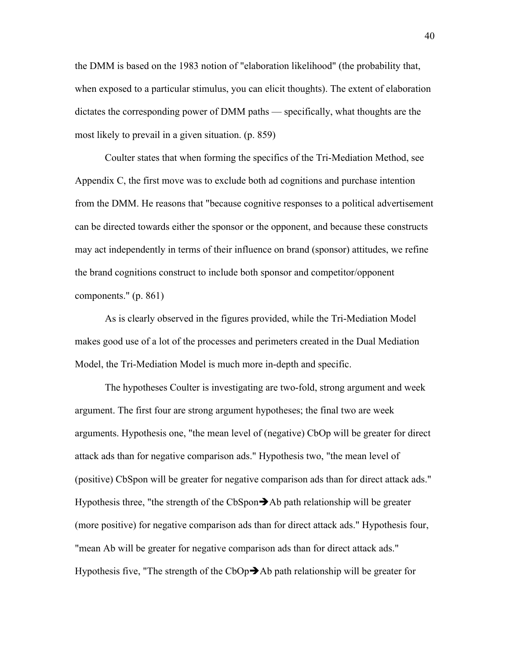the DMM is based on the 1983 notion of "elaboration likelihood" (the probability that, when exposed to a particular stimulus, you can elicit thoughts). The extent of elaboration dictates the corresponding power of DMM paths — specifically, what thoughts are the most likely to prevail in a given situation. (p. 859)

Coulter states that when forming the specifics of the Tri-Mediation Method, see Appendix C, the first move was to exclude both ad cognitions and purchase intention from the DMM. He reasons that "because cognitive responses to a political advertisement can be directed towards either the sponsor or the opponent, and because these constructs may act independently in terms of their influence on brand (sponsor) attitudes, we refine the brand cognitions construct to include both sponsor and competitor/opponent components." (p. 861)

As is clearly observed in the figures provided, while the Tri-Mediation Model makes good use of a lot of the processes and perimeters created in the Dual Mediation Model, the Tri-Mediation Model is much more in-depth and specific.

The hypotheses Coulter is investigating are two-fold, strong argument and week argument. The first four are strong argument hypotheses; the final two are week arguments. Hypothesis one, "the mean level of (negative) CbOp will be greater for direct attack ads than for negative comparison ads." Hypothesis two, "the mean level of (positive) CbSpon will be greater for negative comparison ads than for direct attack ads." Hypothesis three, "the strength of the CbSpon $\rightarrow$ Ab path relationship will be greater (more positive) for negative comparison ads than for direct attack ads." Hypothesis four, "mean Ab will be greater for negative comparison ads than for direct attack ads." Hypothesis five, "The strength of the  $CbOp\rightarrow Ab$  path relationship will be greater for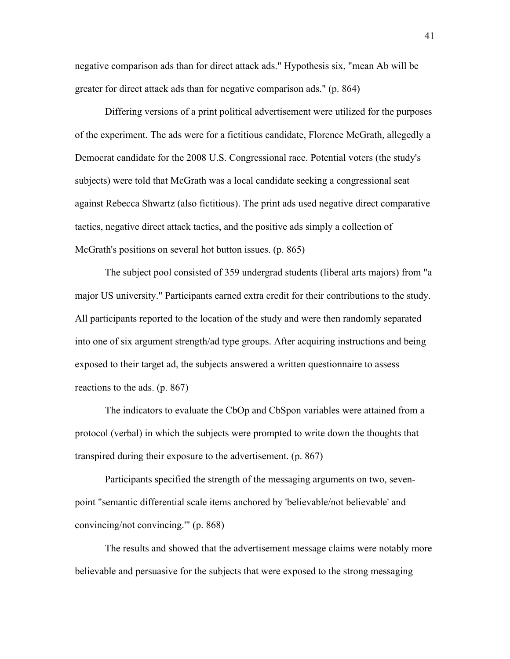negative comparison ads than for direct attack ads." Hypothesis six, "mean Ab will be greater for direct attack ads than for negative comparison ads." (p. 864)

Differing versions of a print political advertisement were utilized for the purposes of the experiment. The ads were for a fictitious candidate, Florence McGrath, allegedly a Democrat candidate for the 2008 U.S. Congressional race. Potential voters (the study's subjects) were told that McGrath was a local candidate seeking a congressional seat against Rebecca Shwartz (also fictitious). The print ads used negative direct comparative tactics, negative direct attack tactics, and the positive ads simply a collection of McGrath's positions on several hot button issues. (p. 865)

The subject pool consisted of 359 undergrad students (liberal arts majors) from "a major US university." Participants earned extra credit for their contributions to the study. All participants reported to the location of the study and were then randomly separated into one of six argument strength/ad type groups. After acquiring instructions and being exposed to their target ad, the subjects answered a written questionnaire to assess reactions to the ads. (p. 867)

The indicators to evaluate the CbOp and CbSpon variables were attained from a protocol (verbal) in which the subjects were prompted to write down the thoughts that transpired during their exposure to the advertisement. (p. 867)

Participants specified the strength of the messaging arguments on two, sevenpoint "semantic differential scale items anchored by 'believable/not believable' and convincing/not convincing.'" (p. 868)

The results and showed that the advertisement message claims were notably more believable and persuasive for the subjects that were exposed to the strong messaging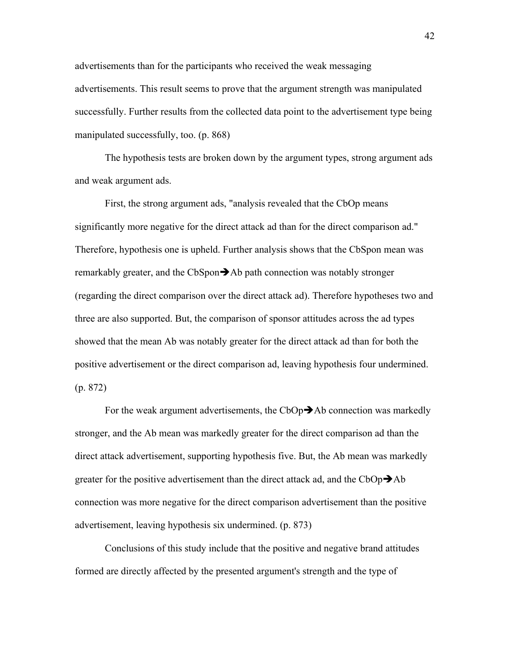advertisements than for the participants who received the weak messaging advertisements. This result seems to prove that the argument strength was manipulated successfully. Further results from the collected data point to the advertisement type being manipulated successfully, too. (p. 868)

The hypothesis tests are broken down by the argument types, strong argument ads and weak argument ads.

First, the strong argument ads, "analysis revealed that the CbOp means significantly more negative for the direct attack ad than for the direct comparison ad." Therefore, hypothesis one is upheld. Further analysis shows that the CbSpon mean was remarkably greater, and the CbSpon $\rightarrow$ Ab path connection was notably stronger (regarding the direct comparison over the direct attack ad). Therefore hypotheses two and three are also supported. But, the comparison of sponsor attitudes across the ad types showed that the mean Ab was notably greater for the direct attack ad than for both the positive advertisement or the direct comparison ad, leaving hypothesis four undermined. (p. 872)

For the weak argument advertisements, the  $CbOp\rightarrow Ab$  connection was markedly stronger, and the Ab mean was markedly greater for the direct comparison ad than the direct attack advertisement, supporting hypothesis five. But, the Ab mean was markedly greater for the positive advertisement than the direct attack ad, and the CbOp $\rightarrow$ Ab connection was more negative for the direct comparison advertisement than the positive advertisement, leaving hypothesis six undermined. (p. 873)

Conclusions of this study include that the positive and negative brand attitudes formed are directly affected by the presented argument's strength and the type of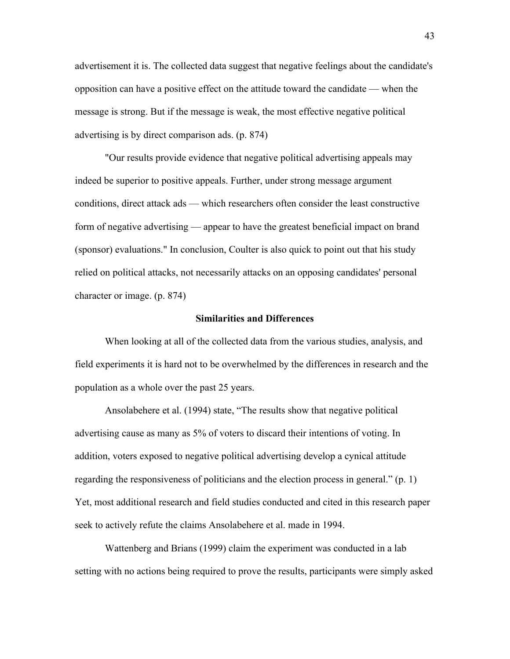advertisement it is. The collected data suggest that negative feelings about the candidate's opposition can have a positive effect on the attitude toward the candidate — when the message is strong. But if the message is weak, the most effective negative political advertising is by direct comparison ads. (p. 874)

"Our results provide evidence that negative political advertising appeals may indeed be superior to positive appeals. Further, under strong message argument conditions, direct attack ads — which researchers often consider the least constructive form of negative advertising — appear to have the greatest beneficial impact on brand (sponsor) evaluations." In conclusion, Coulter is also quick to point out that his study relied on political attacks, not necessarily attacks on an opposing candidates' personal character or image. (p. 874)

#### **Similarities and Differences**

When looking at all of the collected data from the various studies, analysis, and field experiments it is hard not to be overwhelmed by the differences in research and the population as a whole over the past 25 years.

Ansolabehere et al. (1994) state, "The results show that negative political advertising cause as many as 5% of voters to discard their intentions of voting. In addition, voters exposed to negative political advertising develop a cynical attitude regarding the responsiveness of politicians and the election process in general." (p. 1) Yet, most additional research and field studies conducted and cited in this research paper seek to actively refute the claims Ansolabehere et al. made in 1994.

Wattenberg and Brians (1999) claim the experiment was conducted in a lab setting with no actions being required to prove the results, participants were simply asked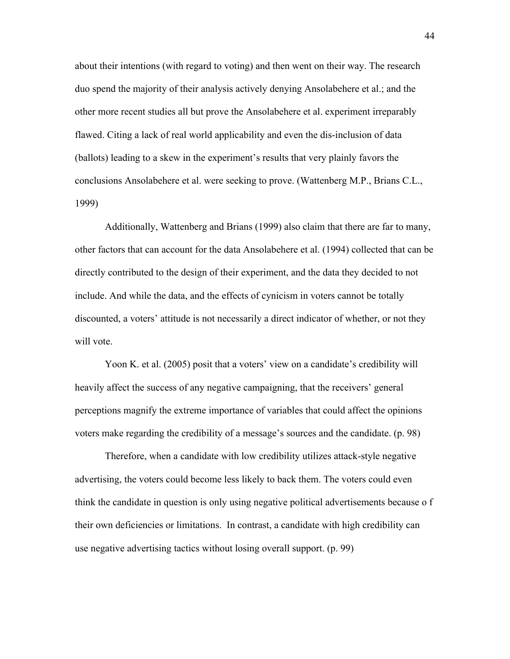about their intentions (with regard to voting) and then went on their way. The research duo spend the majority of their analysis actively denying Ansolabehere et al.; and the other more recent studies all but prove the Ansolabehere et al. experiment irreparably flawed. Citing a lack of real world applicability and even the dis-inclusion of data (ballots) leading to a skew in the experiment's results that very plainly favors the conclusions Ansolabehere et al. were seeking to prove. (Wattenberg M.P., Brians C.L., 1999)

Additionally, Wattenberg and Brians (1999) also claim that there are far to many, other factors that can account for the data Ansolabehere et al. (1994) collected that can be directly contributed to the design of their experiment, and the data they decided to not include. And while the data, and the effects of cynicism in voters cannot be totally discounted, a voters' attitude is not necessarily a direct indicator of whether, or not they will vote.

Yoon K. et al. (2005) posit that a voters' view on a candidate's credibility will heavily affect the success of any negative campaigning, that the receivers' general perceptions magnify the extreme importance of variables that could affect the opinions voters make regarding the credibility of a message's sources and the candidate. (p. 98)

Therefore, when a candidate with low credibility utilizes attack-style negative advertising, the voters could become less likely to back them. The voters could even think the candidate in question is only using negative political advertisements because o f their own deficiencies or limitations. In contrast, a candidate with high credibility can use negative advertising tactics without losing overall support. (p. 99)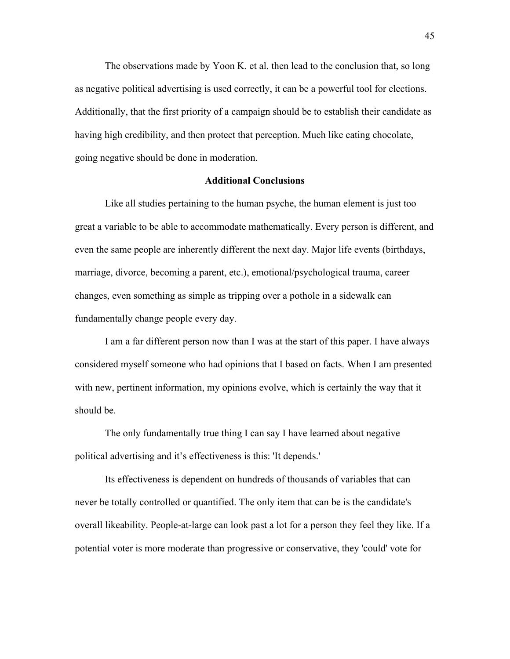The observations made by Yoon K. et al. then lead to the conclusion that, so long as negative political advertising is used correctly, it can be a powerful tool for elections. Additionally, that the first priority of a campaign should be to establish their candidate as having high credibility, and then protect that perception. Much like eating chocolate, going negative should be done in moderation.

#### **Additional Conclusions**

Like all studies pertaining to the human psyche, the human element is just too great a variable to be able to accommodate mathematically. Every person is different, and even the same people are inherently different the next day. Major life events (birthdays, marriage, divorce, becoming a parent, etc.), emotional/psychological trauma, career changes, even something as simple as tripping over a pothole in a sidewalk can fundamentally change people every day.

I am a far different person now than I was at the start of this paper. I have always considered myself someone who had opinions that I based on facts. When I am presented with new, pertinent information, my opinions evolve, which is certainly the way that it should be.

The only fundamentally true thing I can say I have learned about negative political advertising and it's effectiveness is this: 'It depends.'

Its effectiveness is dependent on hundreds of thousands of variables that can never be totally controlled or quantified. The only item that can be is the candidate's overall likeability. People-at-large can look past a lot for a person they feel they like. If a potential voter is more moderate than progressive or conservative, they 'could' vote for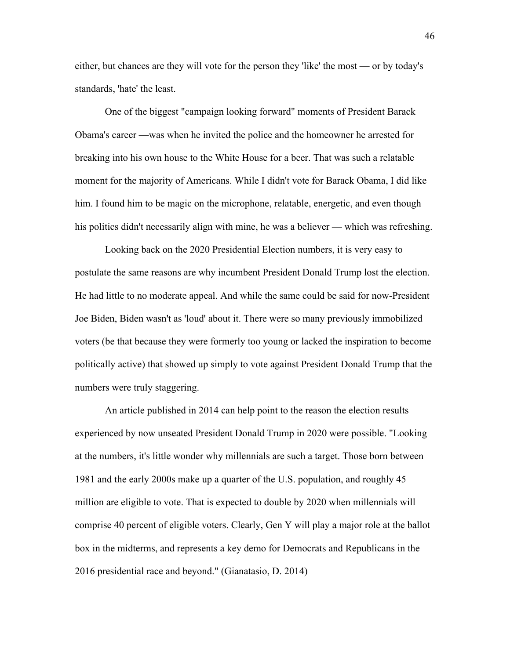either, but chances are they will vote for the person they 'like' the most — or by today's standards, 'hate' the least.

One of the biggest "campaign looking forward" moments of President Barack Obama's career —was when he invited the police and the homeowner he arrested for breaking into his own house to the White House for a beer. That was such a relatable moment for the majority of Americans. While I didn't vote for Barack Obama, I did like him. I found him to be magic on the microphone, relatable, energetic, and even though his politics didn't necessarily align with mine, he was a believer — which was refreshing.

Looking back on the 2020 Presidential Election numbers, it is very easy to postulate the same reasons are why incumbent President Donald Trump lost the election. He had little to no moderate appeal. And while the same could be said for now-President Joe Biden, Biden wasn't as 'loud' about it. There were so many previously immobilized voters (be that because they were formerly too young or lacked the inspiration to become politically active) that showed up simply to vote against President Donald Trump that the numbers were truly staggering.

An article published in 2014 can help point to the reason the election results experienced by now unseated President Donald Trump in 2020 were possible. "Looking at the numbers, it's little wonder why millennials are such a target. Those born between 1981 and the early 2000s make up a quarter of the U.S. population, and roughly 45 million are eligible to vote. That is expected to double by 2020 when millennials will comprise 40 percent of eligible voters. Clearly, Gen Y will play a major role at the ballot box in the midterms, and represents a key demo for Democrats and Republicans in the 2016 presidential race and beyond." (Gianatasio, D. 2014)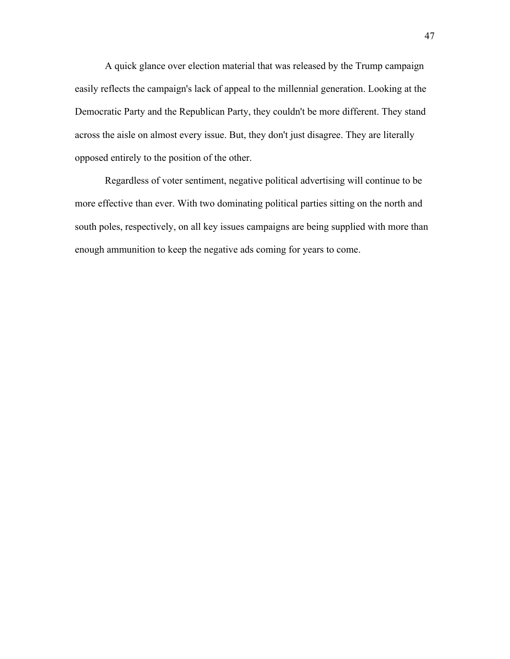A quick glance over election material that was released by the Trump campaign easily reflects the campaign's lack of appeal to the millennial generation. Looking at the Democratic Party and the Republican Party, they couldn't be more different. They stand across the aisle on almost every issue. But, they don't just disagree. They are literally opposed entirely to the position of the other.

Regardless of voter sentiment, negative political advertising will continue to be more effective than ever. With two dominating political parties sitting on the north and south poles, respectively, on all key issues campaigns are being supplied with more than enough ammunition to keep the negative ads coming for years to come.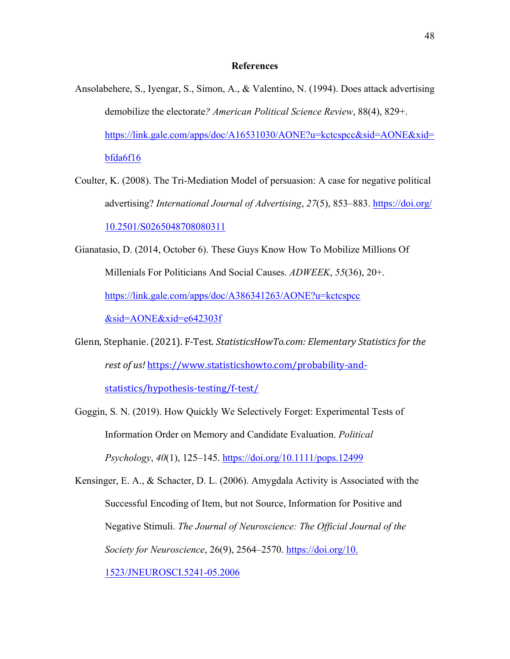#### **References**

- Ansolabehere, S., Iyengar, S., Simon, A., & Valentino, N. (1994). Does attack advertising demobilize the electorate*? American Political Science Review*, 88(4), 829+. https://link.gale.com/apps/doc/A16531030/AONE?u=kctcspcc&sid=AONE&xid= bfda6f16
- Coulter, K. (2008). The Tri-Mediation Model of persuasion: A case for negative political advertising? *International Journal of Advertising*, *27*(5), 853–883. https://doi.org/ 10.2501/S0265048708080311
- Gianatasio, D. (2014, October 6). These Guys Know How To Mobilize Millions Of Millenials For Politicians And Social Causes. *ADWEEK*, *55*(36), 20+. https://link.gale.com/apps/doc/A386341263/AONE?u=kctcspcc &sid=AONE&xid=e642303f
- Glenn, Stephanie. (2021). F-Test. *StatisticsHowTo.com: Elementary Statistics for the rest of us!* https://www.statisticshowto.com/probability-and-

statistics/hypothesis-testing/f-test/

Goggin, S. N. (2019). How Quickly We Selectively Forget: Experimental Tests of Information Order on Memory and Candidate Evaluation. *Political Psychology*, *40*(1), 125–145. https://doi.org/10.1111/pops.12499

Kensinger, E. A., & Schacter, D. L. (2006). Amygdala Activity is Associated with the Successful Encoding of Item, but not Source, Information for Positive and Negative Stimuli. *The Journal of Neuroscience: The Official Journal of the Society for Neuroscience*, 26(9), 2564–2570. https://doi.org/10. 1523/JNEUROSCI.5241-05.2006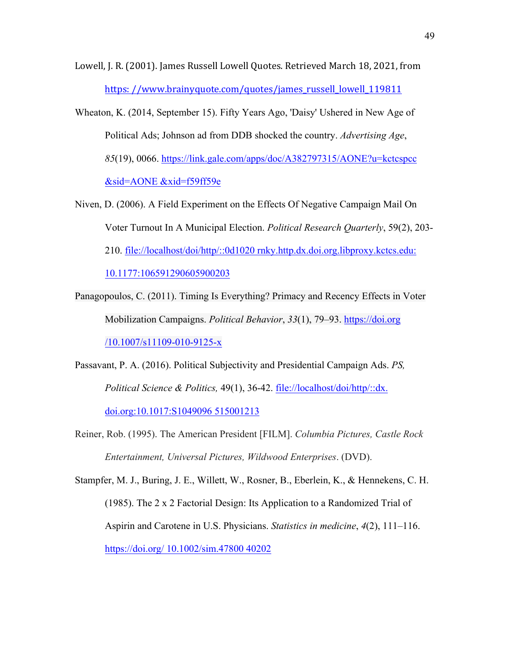- Lowell, J. R. (2001). James Russell Lowell Quotes. Retrieved March 18, 2021, from https://www.brainyquote.com/quotes/james\_russell\_lowell\_119811
- Wheaton, K. (2014, September 15). Fifty Years Ago, 'Daisy' Ushered in New Age of Political Ads; Johnson ad from DDB shocked the country. *Advertising Age*, *85*(19), 0066. https://link.gale.com/apps/doc/A382797315/AONE?u=kctcspcc &sid=AONE &xid=f59ff59e
- Niven, D. (2006). A Field Experiment on the Effects Of Negative Campaign Mail On Voter Turnout In A Municipal Election. *Political Research Quarterly*, 59(2), 203- 210. file://localhost/doi/http/::0d1020 rnky.http.dx.doi.org.libproxy.kctcs.edu: 10.1177:106591290605900203
- Panagopoulos, C. (2011). Timing Is Everything? Primacy and Recency Effects in Voter Mobilization Campaigns. *Political Behavior*, *33*(1), 79–93. https://doi.org /10.1007/s11109-010-9125-x
- Passavant, P. A. (2016). Political Subjectivity and Presidential Campaign Ads. *PS, Political Science & Politics,* 49(1), 36-42. file://localhost/doi/http/::dx. doi.org:10.1017:S1049096 515001213
- Reiner, Rob. (1995). The American President [FILM]. *Columbia Pictures, Castle Rock Entertainment, Universal Pictures, Wildwood Enterprises*. (DVD).

Stampfer, M. J., Buring, J. E., Willett, W., Rosner, B., Eberlein, K., & Hennekens, C. H. (1985). The 2 x 2 Factorial Design: Its Application to a Randomized Trial of Aspirin and Carotene in U.S. Physicians. *Statistics in medicine*, *4*(2), 111–116. https://doi.org/ 10.1002/sim.47800 40202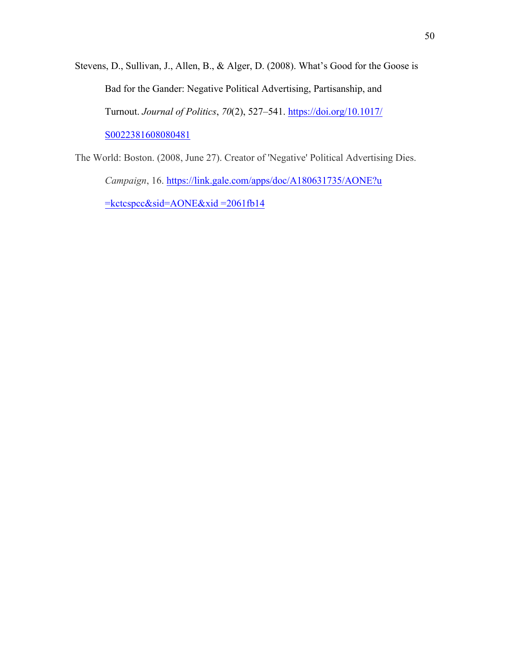- Stevens, D., Sullivan, J., Allen, B., & Alger, D. (2008). What's Good for the Goose is Bad for the Gander: Negative Political Advertising, Partisanship, and Turnout. *Journal of Politics*, *70*(2), 527–541. https://doi.org/10.1017/ S0022381608080481
- The World: Boston. (2008, June 27). Creator of 'Negative' Political Advertising Dies. *Campaign*, 16. https://link.gale.com/apps/doc/A180631735/AONE?u  $\frac{\text{ekctc}}{\text{spec&} \text{side}}$  AONE & xid = 2061fb14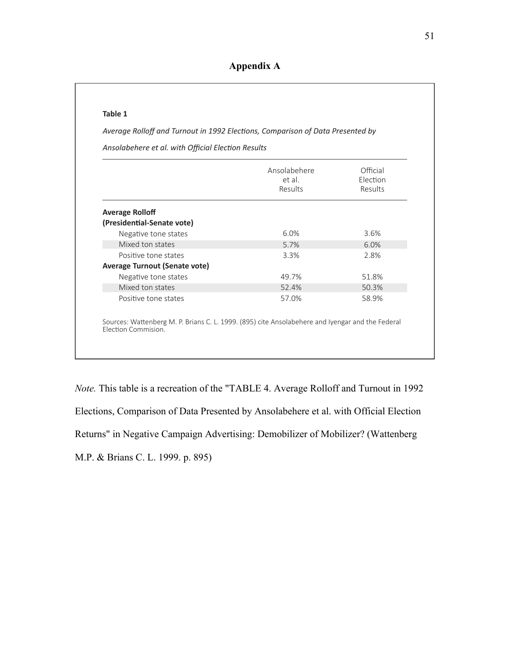#### **Table 1**

Average Rolloff and Turnout in 1992 Elections, Comparison of Data Presented by

Ansolabehere et al. with Official Election Results

|                                                                                                                         | Ansolabehere<br>et al.<br>Results | Official<br>Flection<br>Results |
|-------------------------------------------------------------------------------------------------------------------------|-----------------------------------|---------------------------------|
| <b>Average Rolloff</b>                                                                                                  |                                   |                                 |
| (Presidential-Senate vote)                                                                                              |                                   |                                 |
| Negative tone states                                                                                                    | 6.0%                              | 3.6%                            |
| Mixed ton states                                                                                                        | 5.7%                              | 6.0%                            |
| Positive tone states                                                                                                    | 3.3%                              | 2.8%                            |
| <b>Average Turnout (Senate vote)</b>                                                                                    |                                   |                                 |
| Negative tone states                                                                                                    | 49.7%                             | 51.8%                           |
| Mixed ton states                                                                                                        | 52.4%                             | 50.3%                           |
| Positive tone states                                                                                                    | 57.0%                             | 58.9%                           |
| Sources: Wattenberg M. P. Brians C. L. 1999. (895) cite Ansolabehere and Iyengar and the Federal<br>Election Commision. |                                   |                                 |

*Note.* This table is a recreation of the "TABLE 4. Average Rolloff and Turnout in 1992 Elections, Comparison of Data Presented by Ansolabehere et al. with Official Election Returns" in Negative Campaign Advertising: Demobilizer of Mobilizer? (Wattenberg M.P. & Brians C. L. 1999. p. 895)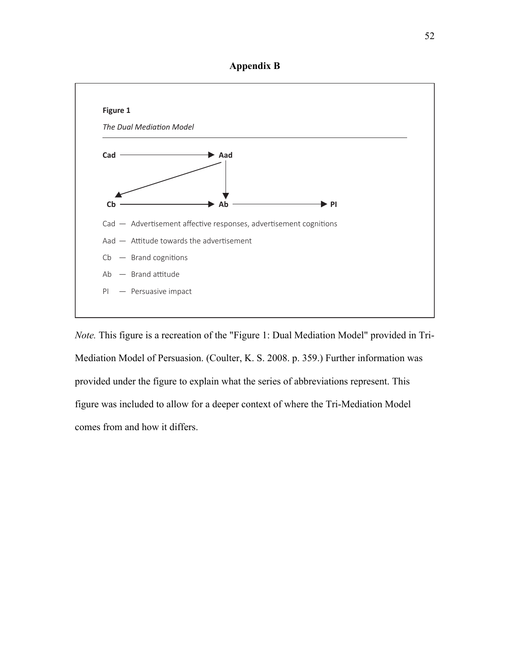



*Note.* This figure is a recreation of the "Figure 1: Dual Mediation Model" provided in Tri-Mediation Model of Persuasion. (Coulter, K. S. 2008. p. 359.) Further information was provided under the figure to explain what the series of abbreviations represent. This figure was included to allow for a deeper context of where the Tri-Mediation Model comes from and how it differs.